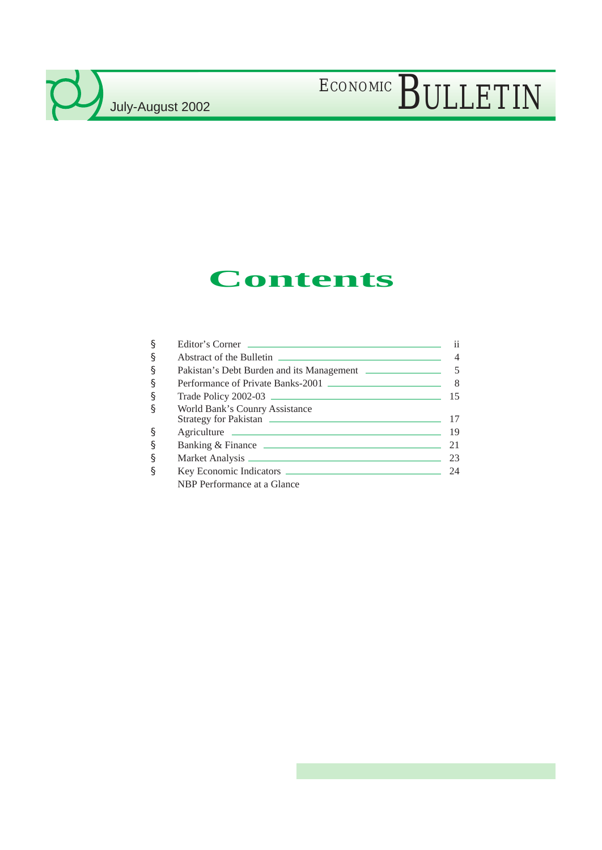## **Contents**

| § | Editor's Corner                                         | 11  |
|---|---------------------------------------------------------|-----|
| § |                                                         |     |
| § |                                                         |     |
| § | Performance of Private Banks-2001                       | 8   |
| § | Trade Policy 2002-03                                    | 15  |
| ş | World Bank's Counry Assistance<br>Strategy for Pakistan | 17  |
| § |                                                         | -19 |
| § |                                                         | 21  |
| § |                                                         | 23  |
| § |                                                         | 24  |
|   | NBP Performance at a Glance                             |     |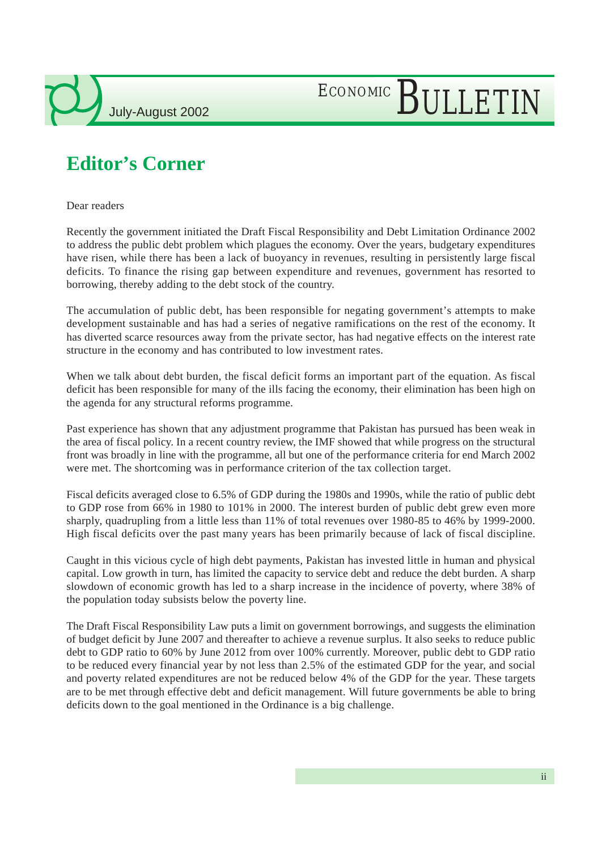

## **Editor's Corner**

Dear readers

Recently the government initiated the Draft Fiscal Responsibility and Debt Limitation Ordinance 2002 to address the public debt problem which plagues the economy. Over the years, budgetary expenditures have risen, while there has been a lack of buoyancy in revenues, resulting in persistently large fiscal deficits. To finance the rising gap between expenditure and revenues, government has resorted to borrowing, thereby adding to the debt stock of the country.

The accumulation of public debt, has been responsible for negating government's attempts to make development sustainable and has had a series of negative ramifications on the rest of the economy. It has diverted scarce resources away from the private sector, has had negative effects on the interest rate structure in the economy and has contributed to low investment rates.

When we talk about debt burden, the fiscal deficit forms an important part of the equation. As fiscal deficit has been responsible for many of the ills facing the economy, their elimination has been high on the agenda for any structural reforms programme.

Past experience has shown that any adjustment programme that Pakistan has pursued has been weak in the area of fiscal policy. In a recent country review, the IMF showed that while progress on the structural front was broadly in line with the programme, all but one of the performance criteria for end March 2002 were met. The shortcoming was in performance criterion of the tax collection target.

Fiscal deficits averaged close to 6.5% of GDP during the 1980s and 1990s, while the ratio of public debt to GDP rose from 66% in 1980 to 101% in 2000. The interest burden of public debt grew even more sharply, quadrupling from a little less than 11% of total revenues over 1980-85 to 46% by 1999-2000. High fiscal deficits over the past many years has been primarily because of lack of fiscal discipline.

Caught in this vicious cycle of high debt payments, Pakistan has invested little in human and physical capital. Low growth in turn, has limited the capacity to service debt and reduce the debt burden. A sharp slowdown of economic growth has led to a sharp increase in the incidence of poverty, where 38% of the population today subsists below the poverty line.

The Draft Fiscal Responsibility Law puts a limit on government borrowings, and suggests the elimination of budget deficit by June 2007 and thereafter to achieve a revenue surplus. It also seeks to reduce public debt to GDP ratio to 60% by June 2012 from over 100% currently. Moreover, public debt to GDP ratio to be reduced every financial year by not less than 2.5% of the estimated GDP for the year, and social and poverty related expenditures are not be reduced below 4% of the GDP for the year. These targets are to be met through effective debt and deficit management. Will future governments be able to bring deficits down to the goal mentioned in the Ordinance is a big challenge.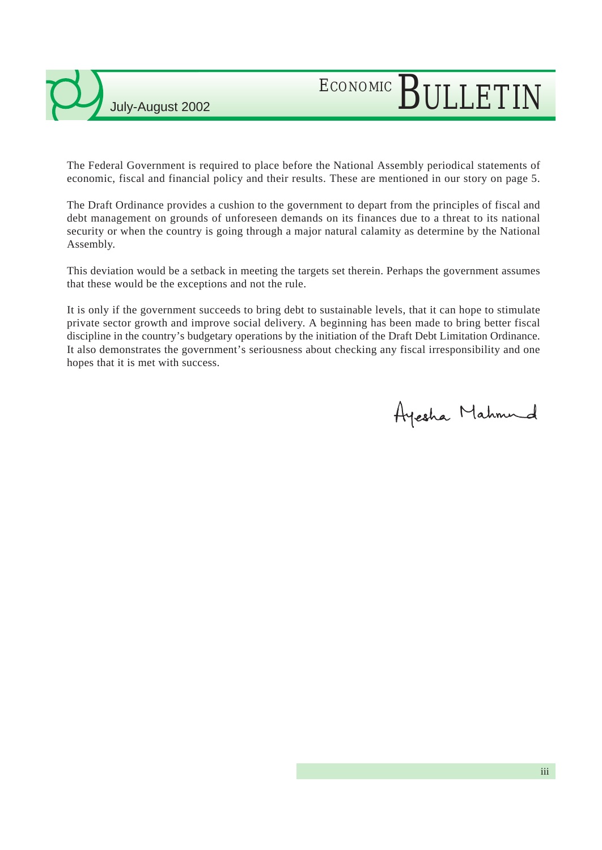## ECONOMIC BULLETIN

The Federal Government is required to place before the National Assembly periodical statements of economic, fiscal and financial policy and their results. These are mentioned in our story on page 5.

The Draft Ordinance provides a cushion to the government to depart from the principles of fiscal and debt management on grounds of unforeseen demands on its finances due to a threat to its national security or when the country is going through a major natural calamity as determine by the National Assembly.

This deviation would be a setback in meeting the targets set therein. Perhaps the government assumes that these would be the exceptions and not the rule.

It is only if the government succeeds to bring debt to sustainable levels, that it can hope to stimulate private sector growth and improve social delivery. A beginning has been made to bring better fiscal discipline in the country's budgetary operations by the initiation of the Draft Debt Limitation Ordinance. It also demonstrates the government's seriousness about checking any fiscal irresponsibility and one hopes that it is met with success.

Ayesha Mahmud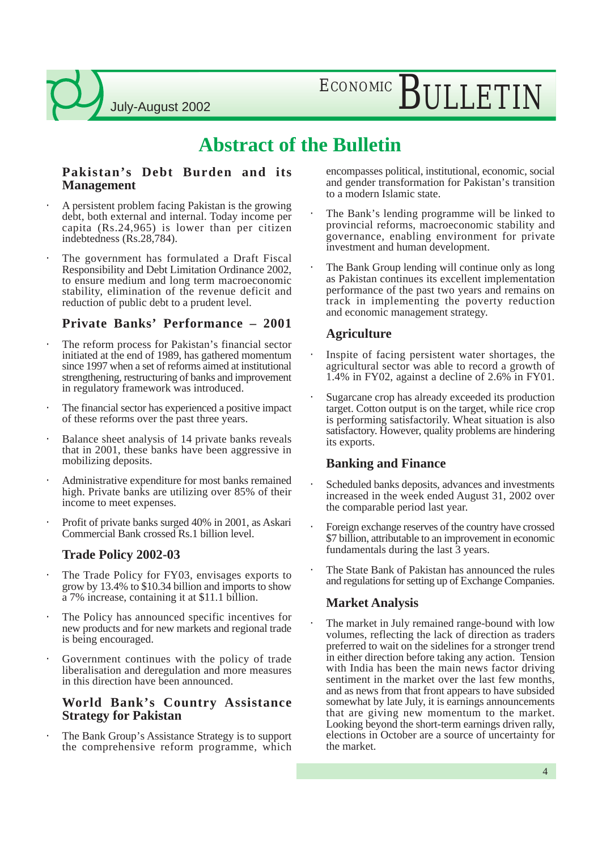## ECONOMIC BULLETIN

### **Abstract of the Bulletin**

#### **Pakistan's Debt Burden and its Management**

- A persistent problem facing Pakistan is the growing debt, both external and internal. Today income per capita  $(Rs.24,965)$  is lower than per citizen indebtedness (Rs.28,784).
- The government has formulated a Draft Fiscal Responsibility and Debt Limitation Ordinance 2002, to ensure medium and long term macroeconomic stability, elimination of the revenue deficit and reduction of public debt to a prudent level.

### **Private Banks' Performance – 2001**

- The reform process for Pakistan's financial sector initiated at the end of 1989, has gathered momentum since 1997 when a set of reforms aimed at institutional strengthening, restructuring of banks and improvement in regulatory framework was introduced.
- The financial sector has experienced a positive impact of these reforms over the past three years.
- Balance sheet analysis of 14 private banks reveals that in 2001, these banks have been aggressive in mobilizing deposits.
- Administrative expenditure for most banks remained high. Private banks are utilizing over 85% of their income to meet expenses.
- Profit of private banks surged 40% in 2001, as Askari Commercial Bank crossed Rs.1 billion level.

### **Trade Policy 2002-03**

- The Trade Policy for FY03, envisages exports to grow by 13.4% to \$10.34 billion and imports to show a 7% increase, containing it at \$11.1 billion.
- The Policy has announced specific incentives for new products and for new markets and regional trade is being encouraged.
- Government continues with the policy of trade liberalisation and deregulation and more measures in this direction have been announced.

#### **World Bank's Country Assistance Strategy for Pakistan**

The Bank Group's Assistance Strategy is to support the comprehensive reform programme, which encompasses political, institutional, economic, social and gender transformation for Pakistan's transition to a modern Islamic state.

- The Bank's lending programme will be linked to provincial reforms, macroeconomic stability and governance, enabling environment for private investment and human development.
- The Bank Group lending will continue only as long as Pakistan continues its excellent implementation performance of the past two years and remains on track in implementing the poverty reduction and economic management strategy.

### **Agriculture**

- Inspite of facing persistent water shortages, the agricultural sector was able to record a growth of 1.4% in FY02, against a decline of 2.6% in FY01.
- Sugarcane crop has already exceeded its production target. Cotton output is on the target, while rice crop is performing satisfactorily. Wheat situation is also satisfactory. However, quality problems are hindering its exports.

### **Banking and Finance**

- Scheduled banks deposits, advances and investments increased in the week ended August 31, 2002 over the comparable period last year.
- Foreign exchange reserves of the country have crossed \$7 billion, attributable to an improvement in economic fundamentals during the last 3 years.
- The State Bank of Pakistan has announced the rules and regulations for setting up of Exchange Companies.

### **Market Analysis**

The market in July remained range-bound with low volumes, reflecting the lack of direction as traders preferred to wait on the sidelines for a stronger trend in either direction before taking any action. Tension with India has been the main news factor driving sentiment in the market over the last few months, and as news from that front appears to have subsided somewhat by late July, it is earnings announcements that are giving new momentum to the market. Looking beyond the short-term earnings driven rally, elections in October are a source of uncertainty for the market.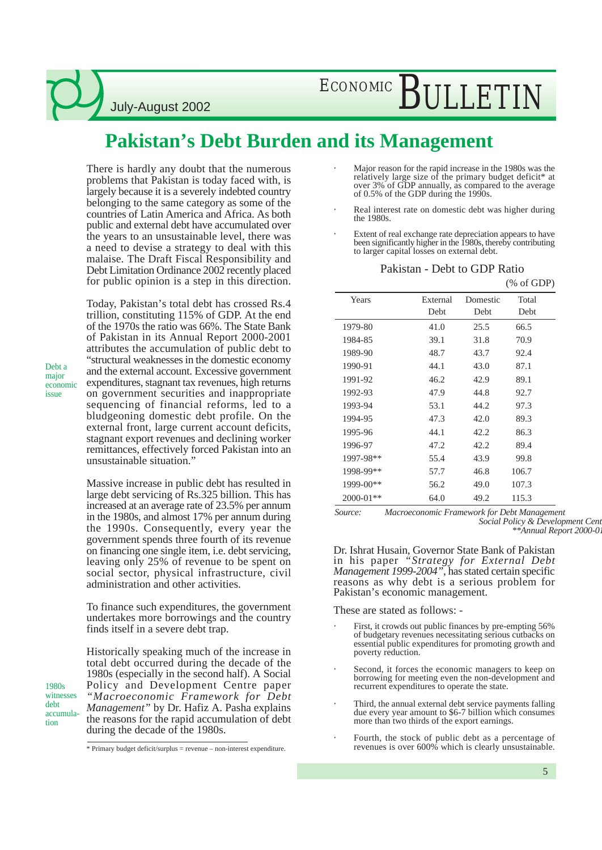ECONOMIC BULLETIN

### **Pakistan's Debt Burden and its Management**

There is hardly any doubt that the numerous problems that Pakistan is today faced with, is largely because it is a severely indebted country belonging to the same category as some of the countries of Latin America and Africa. As both public and external debt have accumulated over the years to an unsustainable level, there was a need to devise a strategy to deal with this malaise. The Draft Fiscal Responsibility and Debt Limitation Ordinance 2002 recently placed for public opinion is a step in this direction.

Today, Pakistan's total debt has crossed Rs.4 trillion, constituting 115% of GDP. At the end

of the 1970s the ratio was 66%. The State Bank of Pakistan in its Annual Report 2000-2001 attributes the accumulation of public debt to "structural weaknesses in the domestic economy and the external account. Excessive government expenditures, stagnant tax revenues, high returns on government securities and inappropriate sequencing of financial reforms, led to a bludgeoning domestic debt profile. On the external front, large current account deficits, stagnant export revenues and declining worker remittances, effectively forced Pakistan into an unsustainable situation."

Massive increase in public debt has resulted in large debt servicing of Rs.325 billion. This has increased at an average rate of 23.5% per annum in the 1980s, and almost 17% per annum during the 1990s. Consequently, every year the government spends three fourth of its revenue on financing one single item, i.e. debt servicing, leaving only 25% of revenue to be spent on social sector, physical infrastructure, civil administration and other activities.

To finance such expenditures, the government undertakes more borrowings and the country finds itself in a severe debt trap.

Historically speaking much of the increase in total debt occurred during the decade of the 1980s (especially in the second half). A Social Policy and Development Centre paper *"Macroeconomic Framework for Debt Management"* by Dr. Hafiz A. Pasha explains the reasons for the rapid accumulation of debt during the decade of the 1980s.

- Major reason for the rapid increase in the 1980s was the relatively large size of the primary budget deficit\* at over 3% of GDP annually, as compared to the average of 0.5% of the GDP during the 1990s.
- Real interest rate on domestic debt was higher during the 1980s.
- Extent of real exchange rate depreciation appears to have been significantly higher in the 1980s, thereby contributing to larger capital losses on external debt.

| Years         | External | Domestic | Total |
|---------------|----------|----------|-------|
|               | Debt     | Debt     | Debt  |
| 1979-80       | 41.0     | 25.5     | 66.5  |
| 1984-85       | 39.1     | 31.8     | 70.9  |
| 1989-90       | 48.7     | 43.7     | 92.4  |
| 1990-91       | 44.1     | 43.0     | 87.1  |
| 1991-92       | 46.2     | 42.9     | 89.1  |
| 1992-93       | 47.9     | 44.8     | 92.7  |
| 1993-94       | 53.1     | 44.2     | 97.3  |
| 1994-95       | 47.3     | 42.0     | 89.3  |
| 1995-96       | 44.1     | 42.2     | 86.3  |
| 1996-97       | 47.2     | 42.2     | 89.4  |
| 1997-98**     | 55.4     | 43.9     | 99.8  |
| 1998-99**     | 57.7     | 46.8     | 106.7 |
| 1999-00**     | 56.2     | 49.0     | 107.3 |
| $2000 - 01**$ | 64.0     | 49.2     | 115.3 |

Pakistan - Debt to GDP Ratio

 $(% of GDP)$ 

*Source: Macroeconomic Framework for Debt Management Social Policy & Development Centre \*\*Annual Report 2000-01, State Bank of Pakistan*

Dr. Ishrat Husain, Governor State Bank of Pakistan in his paper *"Strategy for External Debt Management 1999-2004"*, has stated certain specific reasons as why debt is a serious problem for Pakistan's economic management.

These are stated as follows: -

- First, it crowds out public finances by pre-empting 56% of budgetary revenues necessitating serious cutbacks on essential public expenditures for promoting growth and poverty reduction.
- Second, it forces the economic managers to keep on borrowing for meeting even the non-development and recurrent expenditures to operate the state.
- Third, the annual external debt service payments falling due every year amount to \$6-7 billion which consumes more than two thirds of the export earnings.
- Fourth, the stock of public debt as a percentage of revenues is over 600% which is clearly unsustainable.

5

Debt a major economic issue

1980s witnesses debt accumulation

<sup>\*</sup> Primary budget deficit/surplus = revenue – non-interest expenditure.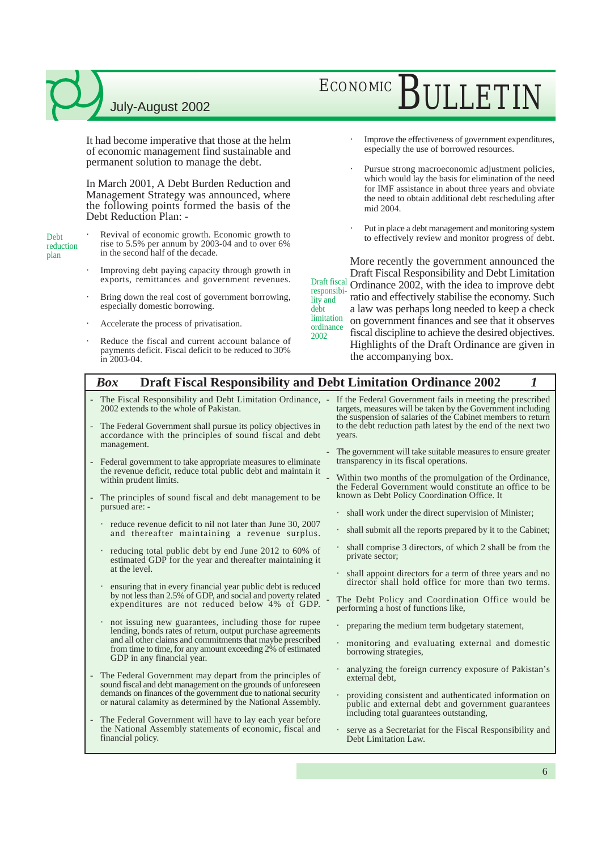It had become imperative that those at the helm of economic management find sustainable and permanent solution to manage the debt.

In March 2001, A Debt Burden Reduction and Management Strategy was announced, where the following points formed the basis of the Debt Reduction Plan: -

- Debt reduction plan
- Revival of economic growth. Economic growth to rise to 5.5% per annum by 2003-04 and to over 6% in the second half of the decade.
	- Improving debt paying capacity through growth in exports, remittances and government revenues.
	- Bring down the real cost of government borrowing, especially domestic borrowing.
	- Accelerate the process of privatisation.
	- Reduce the fiscal and current account balance of payments deficit. Fiscal deficit to be reduced to 30% in 2003-04.
- ECONOMIC RIJLETIN
	- Improve the effectiveness of government expenditures, especially the use of borrowed resources.
	- Pursue strong macroeconomic adjustment policies, which would lay the basis for elimination of the need for IMF assistance in about three years and obviate the need to obtain additional debt rescheduling after mid 2004.
	- Put in place a debt management and monitoring system to effectively review and monitor progress of debt.

More recently the government announced the Draft Fiscal Responsibility and Debt Limitation Draft fiscal Ordinance  $2002$ , with the idea to improve debt ratio and effectively stabilise the economy. Such a law was perhaps long needed to keep a check on government finances and see that it observes fiscal discipline to achieve the desired objectives. Highlights of the Draft Ordinance are given in the accompanying box. responsibility and debt **limitation** ordinance 2002

#### *Box* **Draft Fiscal Responsibility and Debt Limitation Ordinance 2002** *1*

- The Fiscal Responsibility and Debt Limitation Ordinance, -2002 extends to the whole of Pakistan.
- The Federal Government shall pursue its policy objectives in accordance with the principles of sound fiscal and debt management.
- Federal government to take appropriate measures to eliminate the revenue deficit, reduce total public debt and maintain it within prudent limits.
- The principles of sound fiscal and debt management to be pursued are:
	- reduce revenue deficit to nil not later than June 30, 2007 and thereafter maintaining a revenue surplus.
	- reducing total public debt by end June 2012 to 60% of estimated GDP for the year and thereafter maintaining it at the level.
	- ensuring that in every financial year public debt is reduced by not less than 2.5% of GDP, and social and poverty related expenditures are not reduced below 4% of GDP.
	- not issuing new guarantees, including those for rupee lending, bonds rates of return, output purchase agreements and all other claims and commitments that maybe prescribed from time to time, for any amount exceeding 2% of estimated GDP in any financial year.
- The Federal Government may depart from the principles of sound fiscal and debt management on the grounds of unforeseen demands on finances of the government due to national security or natural calamity as determined by the National Assembly.
- The Federal Government will have to lay each year before the National Assembly statements of economic, fiscal and financial policy.

If the Federal Government fails in meeting the prescribed targets, measures will be taken by the Government including the suspension of salaries of the Cabinet members to return to the debt reduction path latest by the end of the next two years.

- The government will take suitable measures to ensure greater transparency in its fiscal operations.
- Within two months of the promulgation of the Ordinance, the Federal Government would constitute an office to be known as Debt Policy Coordination Office. It
	- shall work under the direct supervision of Minister;
	- shall submit all the reports prepared by it to the Cabinet;
- shall comprise 3 directors, of which 2 shall be from the private sector;
- shall appoint directors for a term of three years and no director shall hold office for more than two terms.

The Debt Policy and Coordination Office would be performing a host of functions like,

- preparing the medium term budgetary statement,
- monitoring and evaluating external and domestic borrowing strategies,
- analyzing the foreign currency exposure of Pakistan's external debt,
- providing consistent and authenticated information on public and external debt and government guarantees including total guarantees outstanding,
- serve as a Secretariat for the Fiscal Responsibility and Debt Limitation Law.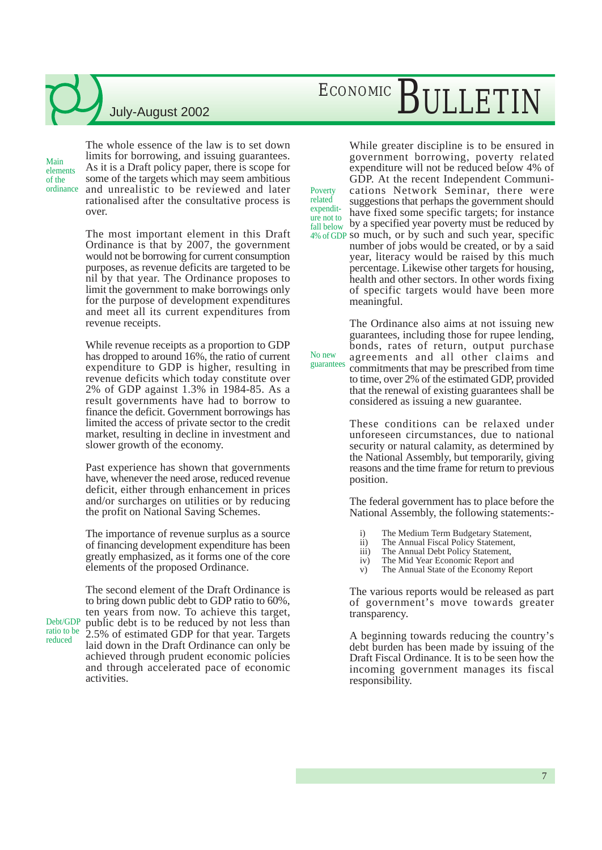Main elements of the

reduced

The whole essence of the law is to set down limits for borrowing, and issuing guarantees. As it is a Draft policy paper, there is scope for some of the targets which may seem ambitious ordinance and unrealistic to be reviewed and later Poverty rationalised after the consultative process is over.

> The most important element in this Draft Ordinance is that by 2007, the government would not be borrowing for current consumption purposes, as revenue deficits are targeted to be nil by that year. The Ordinance proposes to limit the government to make borrowings only for the purpose of development expenditures and meet all its current expenditures from revenue receipts.

> While revenue receipts as a proportion to GDP has dropped to around 16%, the ratio of current expenditure to GDP is higher, resulting in revenue deficits which today constitute over 2% of GDP against 1.3% in 1984-85. As a result governments have had to borrow to finance the deficit. Government borrowings has limited the access of private sector to the credit market, resulting in decline in investment and slower growth of the economy.

> Past experience has shown that governments have, whenever the need arose, reduced revenue deficit, either through enhancement in prices and/or surcharges on utilities or by reducing the profit on National Saving Schemes.

> The importance of revenue surplus as a source of financing development expenditure has been greatly emphasized, as it forms one of the core elements of the proposed Ordinance.

The second element of the Draft Ordinance is to bring down public debt to GDP ratio to 60%, ten years from now. To achieve this target, public debt is to be reduced by not less than 2.5% of estimated GDP for that year. Targets laid down in the Draft Ordinance can only be achieved through prudent economic policies and through accelerated pace of economic activities. Debt/GDP ratio to be

## ECONOMIC BULLETIN

While greater discipline is to be ensured in government borrowing, poverty related expenditure will not be reduced below 4% of GDP. At the recent Independent Communications Network Seminar, there were suggestions that perhaps the government should have fixed some specific targets; for instance fall below by a specified year poverty must be reduced by 4% of GDP so much, or by such and such year, specific expenditure not to

related

No new

number of jobs would be created, or by a said year, literacy would be raised by this much percentage. Likewise other targets for housing, health and other sectors. In other words fixing of specific targets would have been more meaningful.

The Ordinance also aims at not issuing new guarantees, including those for rupee lending, bonds, rates of return, output purchase agreements and all other claims and commitments that may be prescribed from time to time, over 2% of the estimated GDP, provided that the renewal of existing guarantees shall be considered as issuing a new guarantee. guarantees

> These conditions can be relaxed under unforeseen circumstances, due to national security or natural calamity, as determined by the National Assembly, but temporarily, giving reasons and the time frame for return to previous position.

> The federal government has to place before the National Assembly, the following statements:-

- i) The Medium Term Budgetary Statement,
- ii) The Annual Fiscal Policy Statement,
- iii) The Annual Debt Policy Statement,<br>iv) The Mid Year Economic Report and
- The Mid Year Economic Report and
- v) The Annual State of the Economy Report

The various reports would be released as part of government's move towards greater transparency.

A beginning towards reducing the country's debt burden has been made by issuing of the Draft Fiscal Ordinance. It is to be seen how the incoming government manages its fiscal responsibility.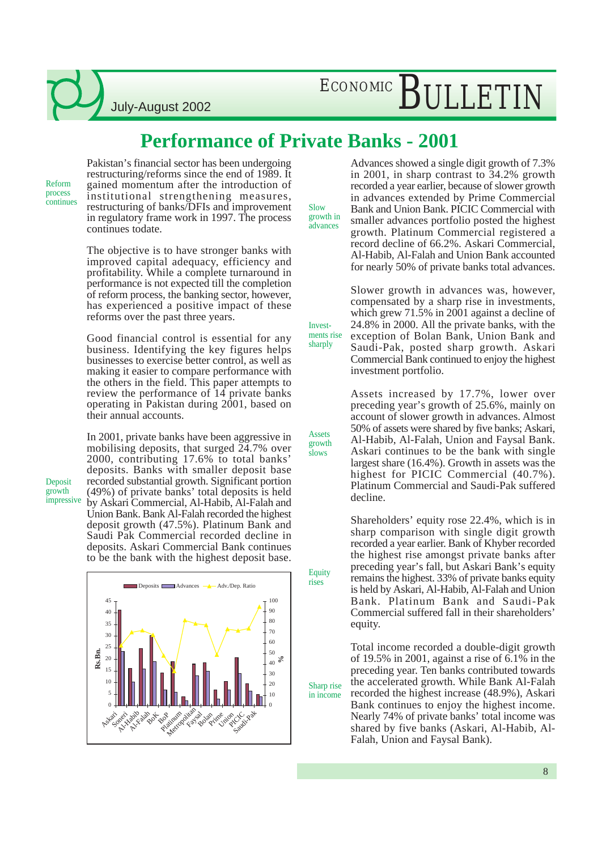July-August 2002

### **Performance of Private Banks - 2001**

Reform process continues

Deposit growth impressive Pakistan's financial sector has been undergoing restructuring/reforms since the end of 1989. It gained momentum after the introduction of institutional strengthening measures, restructuring of banks/DFIs and improvement in regulatory frame work in 1997. The process continues todate.

The objective is to have stronger banks with improved capital adequacy, efficiency and profitability. While a complete turnaround in performance is not expected till the completion of reform process, the banking sector, however, has experienced a positive impact of these reforms over the past three years.

Good financial control is essential for any business. Identifying the key figures helps businesses to exercise better control, as well as making it easier to compare performance with the others in the field. This paper attempts to review the performance of 14 private banks operating in Pakistan during 2001, based on their annual accounts.

In 2001, private banks have been aggressive in mobilising deposits, that surged 24.7% over 2000, contributing 17.6% to total banks' deposits. Banks with smaller deposit base recorded substantial growth. Significant portion (49%) of private banks' total deposits is held by Askari Commercial, Al-Habib, Al-Falah and Union Bank. Bank Al-Falah recorded the highest deposit growth (47.5%). Platinum Bank and Saudi Pak Commercial recorded decline in deposits. Askari Commercial Bank continues to be the bank with the highest deposit base.



Advances showed a single digit growth of 7.3% in 2001, in sharp contrast to 34.2% growth recorded a year earlier, because of slower growth in advances extended by Prime Commercial Bank and Union Bank. PICIC Commercial with smaller advances portfolio posted the highest growth. Platinum Commercial registered a record decline of 66.2%. Askari Commercial, Al-Habib, Al-Falah and Union Bank accounted for nearly 50% of private banks total advances. growth in

> Slower growth in advances was, however, compensated by a sharp rise in investments, which grew 71.5% in 2001 against a decline of 24.8% in 2000. All the private banks, with the exception of Bolan Bank, Union Bank and Saudi-Pak, posted sharp growth. Askari Commercial Bank continued to enjoy the highest investment portfolio.

> Assets increased by 17.7%, lower over preceding year's growth of 25.6%, mainly on account of slower growth in advances. Almost 50% of assets were shared by five banks; Askari, Al-Habib, Al-Falah, Union and Faysal Bank. Askari continues to be the bank with single largest share (16.4%). Growth in assets was the highest for PICIC Commercial (40.7%). Platinum Commercial and Saudi-Pak suffered decline.

> Shareholders' equity rose 22.4%, which is in sharp comparison with single digit growth recorded a year earlier. Bank of Khyber recorded the highest rise amongst private banks after preceding year's fall, but Askari Bank's equity remains the highest. 33% of private banks equity is held by Askari, Al-Habib, Al-Falah and Union Bank. Platinum Bank and Saudi-Pak Commercial suffered fall in their shareholders' equity.

Total income recorded a double-digit growth of 19.5% in 2001, against a rise of 6.1% in the preceding year. Ten banks contributed towards the accelerated growth. While Bank Al-Falah recorded the highest increase (48.9%), Askari Bank continues to enjoy the highest income. Nearly 74% of private banks' total income was shared by five banks (Askari, Al-Habib, Al-Falah, Union and Faysal Bank).

Assets growth

slows

**Equity** rises

Sharp rise in income

Investments rise sharply

Slow

advances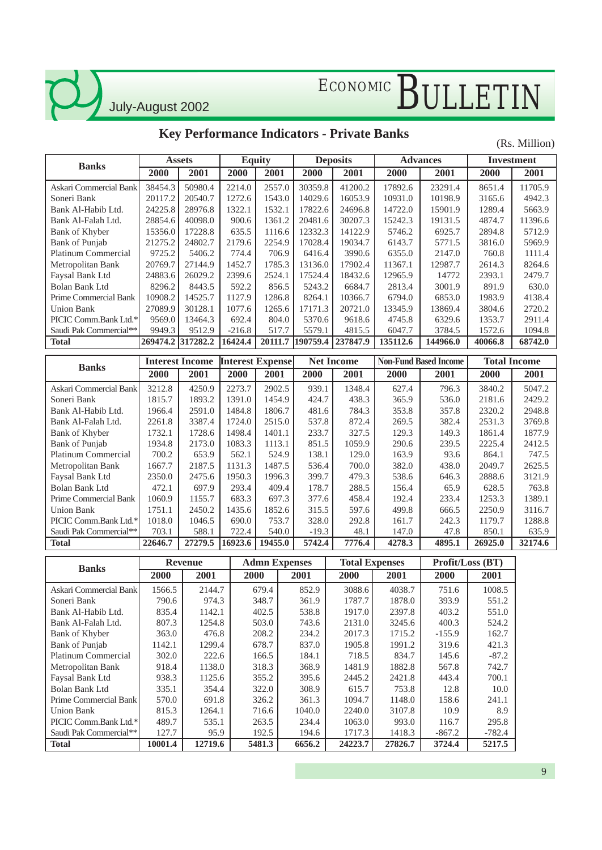July-August 2002

### **Key Performance Indicators - Private Banks**

(Rs. Million)

|                                        | <b>Assets</b>     |                        |                         | <b>Equity</b>        |                                | <b>Deposits</b>       |                 | <b>Advances</b>              |                  | <b>Investment</b>   |  |
|----------------------------------------|-------------------|------------------------|-------------------------|----------------------|--------------------------------|-----------------------|-----------------|------------------------------|------------------|---------------------|--|
| <b>Banks</b>                           | 2000              | 2001                   | 2000                    | 2001                 | 2000                           | 2001                  | 2000            | 2001                         | 2000             | 2001                |  |
| Askari Commercial Bank                 | 38454.3           | 50980.4                | 2214.0                  | 2557.0               | 30359.8                        | 41200.2               | 17892.6         | 23291.4                      | 8651.4           | 11705.9             |  |
| Soneri Bank                            | 20117.2           | 20540.7                | 1272.6                  | 1543.0               | 14029.6                        | 16053.9               | 10931.0         | 10198.9                      | 3165.6           | 4942.3              |  |
| Bank Al-Habib Ltd.                     | 24225.8           | 28976.8                | 1322.1                  | 1532.1               | 17822.6                        | 24696.8               | 14722.0         | 15901.9                      | 1289.4           | 5663.9              |  |
| Bank Al-Falah Ltd.                     | 28854.6           | 40098.0                | 900.6                   | 1361.2               | 20481.6                        | 30207.3               | 15242.3         | 19131.5                      | 4874.7           | 11396.6             |  |
| Bank of Khyber                         | 15356.0           | 17228.8                | 635.5                   | 1116.6               | 12332.3                        | 14122.9               | 5746.2          | 6925.7                       | 2894.8           | 5712.9              |  |
| <b>Bank</b> of Punjab                  | 21275.2           | 24802.7                | 2179.6                  | 2254.9               | 17028.4                        | 19034.7               | 6143.7          | 5771.5                       | 3816.0           | 5969.9              |  |
| Platinum Commercial                    | 9725.2            | 5406.2                 | 774.4                   | 706.9                | 6416.4                         | 3990.6                | 6355.0          | 2147.0                       | 760.8            | 1111.4              |  |
| Metropolitan Bank                      | 20769.7           | 27144.9                | 1452.7                  | 1785.3               | 13136.0                        | 17902.4               | 11367.1         | 12987.7                      | 2614.3           | 8264.6              |  |
| Faysal Bank Ltd                        | 24883.6           | 26029.2                | 2399.6                  | 2524.1               | 17524.4                        | 18432.6               | 12965.9         | 14772                        | 2393.1           | 2479.7              |  |
| <b>Bolan Bank Ltd</b>                  | 8296.2            | 8443.5                 | 592.2                   | 856.5                | 5243.2                         | 6684.7                | 2813.4          | 3001.9                       | 891.9            | 630.0               |  |
| Prime Commercial Bank                  | 10908.2           | 14525.7                | 1127.9                  | 1286.8               | 8264.1                         | 10366.7               | 6794.0          | 6853.0                       | 1983.9           | 4138.4              |  |
| <b>Union Bank</b>                      | 27089.9           | 30128.1                | 1077.6                  | 1265.6               | 17171.3                        | 20721.0               | 13345.9         | 13869.4                      | 3804.6           | 2720.2              |  |
| PICIC Comm.Bank Ltd.*                  | 9569.0            | 13464.3                | 692.4                   | 804.0                | 5370.6                         | 9618.6                | 4745.8          | 6329.6                       | 1353.7           | 2911.4              |  |
| Saudi Pak Commercial**                 | 9949.3            | 9512.9                 | $-216.8$                | 517.7                | 5579.1                         | 4815.5                | 6047.7          | 3784.5                       | 1572.6           | 1094.8              |  |
| <b>Total</b>                           | 269474.2 317282.2 |                        | 16424.4                 | 20111.7              | 190759.4                       | 237847.9              | 135112.6        | 144966.0                     | 40066.8          | 68742.0             |  |
|                                        |                   | <b>Interest Income</b> | <b>Interest Expense</b> |                      |                                | <b>Net Income</b>     |                 | <b>Non-Fund Based Income</b> |                  | <b>Total Income</b> |  |
| <b>Banks</b>                           |                   | 2001                   |                         |                      |                                |                       |                 |                              |                  |                     |  |
|                                        | 2000              |                        | 2000                    | 2001                 | 2000                           | 2001                  | 2000            | 2001                         | 2000             | 2001                |  |
| Askari Commercial Bank                 | 3212.8            | 4250.9                 | 2273.7                  | 2902.5               | 939.1                          | 1348.4                | 627.4           | 796.3                        | 3840.2           | 5047.2              |  |
| Soneri Bank                            | 1815.7            | 1893.2                 | 1391.0                  | 1454.9               | 424.7                          | 438.3                 | 365.9           | 536.0                        | 2181.6           | 2429.2              |  |
| Bank Al-Habib Ltd.                     | 1966.4            | 2591.0                 | 1484.8                  | 1806.7               | 481.6                          | 784.3                 | 353.8           | 357.8                        | 2320.2           | 2948.8              |  |
| Bank Al-Falah Ltd.                     | 2261.8            | 3387.4                 | 1724.0                  | 2515.0               | 537.8                          | 872.4                 | 269.5           | 382.4                        | 2531.3           | 3769.8              |  |
| Bank of Khyber                         | 1732.1            | 1728.6                 | 1498.4                  | 1401.1               | 233.7                          | 327.5                 | 129.3           | 149.3                        | 1861.4           | 1877.9              |  |
| <b>Bank</b> of Punjab                  | 1934.8            | 2173.0                 | 1083.3                  | 1113.1               | 851.5                          | 1059.9                | 290.6           | 239.5                        | 2225.4           | 2412.5              |  |
| <b>Platinum Commercial</b>             | 700.2             | 653.9                  | 562.1                   | 524.9                | 138.1                          | 129.0                 | 163.9           | 93.6                         | 864.1            | 747.5               |  |
| Metropolitan Bank                      | 1667.7            | 2187.5                 | 1131.3                  | 1487.5               | 536.4                          | 700.0                 | 382.0           | 438.0                        | 2049.7           | 2625.5              |  |
| Faysal Bank Ltd                        | 2350.0            | 2475.6                 | 1950.3                  | 1996.3               | 399.7                          | 479.3                 | 538.6           | 646.3                        | 2888.6           | 3121.9              |  |
| <b>Bolan Bank Ltd</b>                  | 472.1             | 697.9                  | 293.4                   | 409.4                | 178.7                          | 288.5                 | 156.4           | 65.9                         | 628.5            | 763.8               |  |
| Prime Commercial Bank                  | 1060.9            | 1155.7                 | 683.3                   | 697.3                | 377.6                          | 458.4                 | 192.4           | 233.4                        | 1253.3           | 1389.1              |  |
| <b>Union Bank</b>                      | 1751.1            | 2450.2                 | 1435.6                  | 1852.6               | 315.5                          | 597.6                 | 499.8           | 666.5                        | 2250.9           | 3116.7              |  |
| PICIC Comm.Bank Ltd.*                  | 1018.0            | 1046.5                 | 690.0                   | 753.7                | 328.0                          | 292.8                 | 161.7           | 242.3                        | 1179.7           | 1288.8              |  |
| Saudi Pak Commercial**<br><b>Total</b> | 703.1<br>22646.7  | 588.1<br>27279.5       | 722.4<br>16923.6        | 540.0<br>19455.0     | $-19.3$<br>$\overline{5742.4}$ | 48.1<br>7776.4        | 147.0<br>4278.3 | 47.8<br>4895.1               | 850.1<br>26925.0 | 635.9<br>32174.6    |  |
|                                        |                   |                        |                         |                      |                                |                       |                 |                              |                  |                     |  |
|                                        |                   | <b>Revenue</b>         |                         | <b>Admn</b> Expenses |                                | <b>Total Expenses</b> |                 |                              | Profit/Loss (BT) |                     |  |
| <b>Banks</b>                           | 2000              | 2001                   | 2000                    |                      | 2001                           | 2000                  | 2001            | 2000                         | 2001             |                     |  |
| Askari Commercial Bank                 | 1566.5            | 2144.7                 |                         | 679.4                | 852.9                          | 3088.6                | 4038.7          | 751.6                        | 1008.5           |                     |  |
| Soneri Bank                            | 790.6             | 974.3                  |                         | 348.7                | 361.9                          | 1787.7                | 1878.0          | 393.9                        | 551.2            |                     |  |
| Bank Al-Habib Ltd.                     | 835.4             | 1142.1                 |                         | 402.5                | 538.8                          | 1917.0                | 2397.8          | 403.2                        | 551.0            |                     |  |
| Bank Al-Falah Ltd.                     | 807.3             | 1254.8                 |                         | 503.0                | 743.6                          | 2131.0                | 3245.6          | 400.3                        | 524.2            |                     |  |
| Bank of Khyber                         | 363.0             | 476.8                  |                         | 208.2                | 234.2                          | 2017.3                | 1715.2          | $-155.9$                     | 162.7            |                     |  |
| Bank of Punjab                         | 1142.1            | 1299.4                 |                         | 678.7                | 837.0                          | 1905.8                | 1991.2          | 319.6                        | 421.3            |                     |  |
| <b>Platinum Commercial</b>             | 302.0             | 222.6                  |                         | 166.5                | 184.1                          | 718.5                 | 834.7           | 145.6                        | $-87.2$          |                     |  |
| Metropolitan Bank                      | 918.4             | 1138.0                 |                         | 318.3                | 368.9                          | 1481.9                | 1882.8          | 567.8                        | 742.7            |                     |  |
| Faysal Bank Ltd                        | 938.3             | 1125.6                 |                         | 355.2                | 395.6                          | 2445.2                | 2421.8          | 443.4                        | 700.1            |                     |  |
| Bolan Bank Ltd                         | 335.1             | 354.4                  |                         | 322.0                | 308.9                          | 615.7                 | 753.8           | 12.8                         | $10.0\,$         |                     |  |
| Prime Commercial Bank                  | 570.0             | 691.8                  |                         | 326.2                | 361.3                          | 1094.7                | 1148.0          | 158.6                        | 241.1            |                     |  |
| <b>Union Bank</b>                      | 815.3             | 1264.1                 |                         | 716.6                | 1040.0                         | 2240.0                | 3107.8          | 10.9                         | 8.9              |                     |  |
| PICIC Comm.Bank Ltd.*                  | 489.7             | 535.1                  |                         | 263.5                | 234.4                          | 1063.0                | 993.0           | 116.7                        | 295.8            |                     |  |
| Saudi Pak Commercial**                 | 127.7             | 95.9                   |                         | 192.5                | 194.6                          | 1717.3                | 1418.3          | $-867.2$                     | $-782.4$         |                     |  |
| <b>Total</b>                           | 10001.4           | 12719.6                |                         | 5481.3               | 6656.2                         | 24223.7               | 27826.7         | 3724.4                       | 5217.5           |                     |  |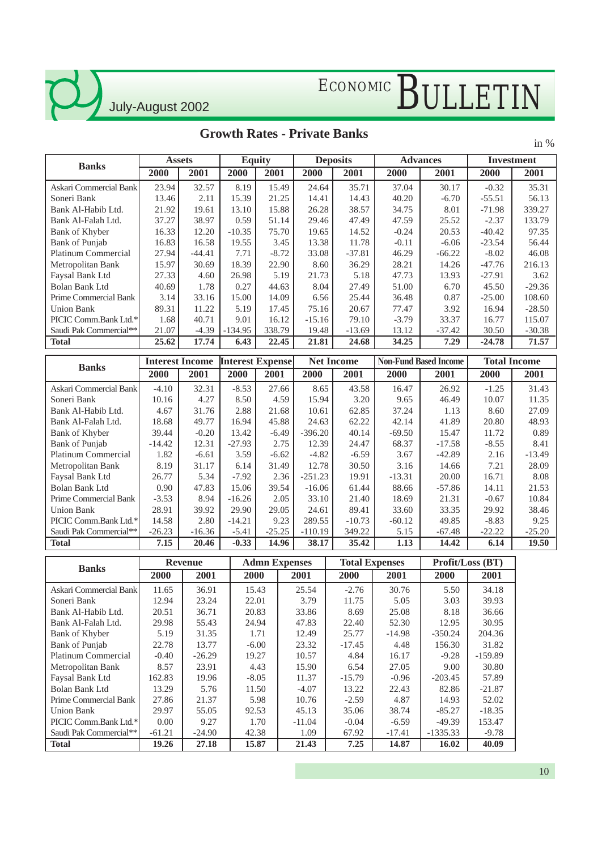$\mathcal{L}$ 

# ECONOMIC BULLETIN

### **Growth Rates - Private Banks**

in %

| <b>Banks</b>               | <b>Equity</b><br><b>Assets</b> |                        |           | <b>Deposits</b>         |          | <b>Advances</b>   |         | <b>Investment</b>            |          |                     |
|----------------------------|--------------------------------|------------------------|-----------|-------------------------|----------|-------------------|---------|------------------------------|----------|---------------------|
|                            | 2000                           | 2001                   | 2000      | 2001                    | 2000     | 2001              | 2000    | 2001                         | 2000     | 2001                |
| Askari Commercial Bank     | 23.94                          | 32.57                  | 8.19      | 15.49                   | 24.64    | 35.71             | 37.04   | 30.17                        | $-0.32$  | 35.31               |
| Soneri Bank                | 13.46                          | 2.11                   | 15.39     | 21.25                   | 14.41    | 14.43             | 40.20   | $-6.70$                      | $-55.51$ | 56.13               |
| Bank Al-Habib Ltd.         | 21.92                          | 19.61                  | 13.10     | 15.88                   | 26.28    | 38.57             | 34.75   | 8.01                         | $-71.98$ | 339.27              |
| Bank Al-Falah Ltd.         | 37.27                          | 38.97                  | 0.59      | 51.14                   | 29.46    | 47.49             | 47.59   | 25.52                        | $-2.37$  | 133.79              |
| Bank of Khyber             | 16.33                          | 12.20                  | $-10.35$  | 75.70                   | 19.65    | 14.52             | $-0.24$ | 20.53                        | $-40.42$ | 97.35               |
| Bank of Punjab             | 16.83                          | 16.58                  | 19.55     | 3.45                    | 13.38    | 11.78             | $-0.11$ | $-6.06$                      | $-23.54$ | 56.44               |
| <b>Platinum Commercial</b> | 27.94                          | $-44.41$               | 7.71      | $-8.72$                 | 33.08    | $-37.81$          | 46.29   | $-66.22$                     | $-8.02$  | 46.08               |
| Metropolitan Bank          | 15.97                          | 30.69                  | 18.39     | 22.90                   | 8.60     | 36.29             | 28.21   | 14.26                        | $-47.76$ | 216.13              |
| Faysal Bank Ltd            | 27.33                          | 4.60                   | 26.98     | 5.19                    | 21.73    | 5.18              | 47.73   | 13.93                        | $-27.91$ | 3.62                |
| <b>Bolan Bank Ltd</b>      | 40.69                          | 1.78                   | 0.27      | 44.63                   | 8.04     | 27.49             | 51.00   | 6.70                         | 45.50    | $-29.36$            |
| Prime Commercial Bank      | 3.14                           | 33.16                  | 15.00     | 14.09                   | 6.56     | 25.44             | 36.48   | 0.87                         | $-25.00$ | 108.60              |
| <b>Union Bank</b>          | 89.31                          | 11.22                  | 5.19      | 17.45                   | 75.16    | 20.67             | 77.47   | 3.92                         | 16.94    | $-28.50$            |
| PICIC Comm.Bank Ltd.*      | 1.68                           | 40.71                  | 9.01      | 16.12                   | $-15.16$ | 79.10             | $-3.79$ | 33.37                        | 16.77    | 115.07              |
| Saudi Pak Commercial**     | 21.07                          | $-4.39$                | $-134.95$ | 338.79                  | 19.48    | $-13.69$          | 13.12   | $-37.42$                     | 30.50    | $-30.38$            |
| <b>Total</b>               | 25.62                          | 17.74                  | 6.43      | 22.45                   | 21.81    | 24.68             | 34.25   | 7.29                         | $-24.78$ | 71.57               |
|                            |                                | <b>Interest Income</b> |           | <b>Interest Expense</b> |          | <b>Net Income</b> |         | <b>Non-Fund Based Income</b> |          | <b>Total Income</b> |
| <b>Banks</b>               | 2000                           | 2001                   | 2000      | 2001                    | 2000     | 2001              | 2000    | 2001                         | 2000     | 2001                |

| Banks                      | 2000           | 2001     | 2000     | 2001     | 2000      | 2001     | 2000     | 2001     | 2000     | 2001     |
|----------------------------|----------------|----------|----------|----------|-----------|----------|----------|----------|----------|----------|
| Askari Commercial Bank     | $-4.10$        | 32.31    | $-8.53$  | 27.66    | 8.65      | 43.58    | 16.47    | 26.92    | $-1.25$  | 31.43    |
| Soneri Bank                | 10.16          | 4.27     | 8.50     | 4.59     | 15.94     | 3.20     | 9.65     | 46.49    | 10.07    | 11.35    |
| Bank Al-Habib Ltd.         | 4.67           | 31.76    | 2.88     | 21.68    | 10.61     | 62.85    | 37.24    | 1.13     | 8.60     | 27.09    |
| Bank Al-Falah Ltd.         | 18.68          | 49.77    | 16.94    | 45.88    | 24.63     | 62.22    | 42.14    | 41.89    | 20.80    | 48.93    |
| Bank of Khyber             | 39.44          | $-0.20$  | 13.42    | $-6.49$  | $-396.20$ | 40.14    | $-69.50$ | 15.47    | 11.72    | 0.89     |
| Bank of Punjab             | $-14.42$       | 12.31    | $-27.93$ | 2.75     | 12.39     | 24.47    | 68.37    | $-17.58$ | $-8.55$  | 8.41     |
| <b>Platinum Commercial</b> | 1.82           | $-6.61$  | 3.59     | $-6.62$  | $-4.82$   | $-6.59$  | 3.67     | $-42.89$ | 2.16     | $-13.49$ |
| Metropolitan Bank          | 8.19           | 31.17    | 6.14     | 31.49    | 12.78     | 30.50    | 3.16     | 14.66    | 7.21     | 28.09    |
| Faysal Bank Ltd            | 26.77          | 5.34     | $-7.92$  | 2.36     | $-251.23$ | 19.91    | $-13.31$ | 20.00    | 16.71    | 8.08     |
| Bolan Bank Ltd             | $0.90^{\circ}$ | 47.83    | 15.06    | 39.54    | $-16.06$  | 61.44    | 88.66    | $-57.86$ | 14.11    | 21.53    |
| Prime Commercial Bank      | $-3.53$        | 8.94     | $-16.26$ | 2.05     | 33.10     | 21.40    | 18.69    | 21.31    | $-0.67$  | 10.84    |
| Union Bank                 | 28.91          | 39.92    | 29.90    | 29.05    | 24.61     | 89.41    | 33.60    | 33.35    | 29.92    | 38.46    |
| PICIC Comm.Bank Ltd.*      | 14.58          | 2.80     | $-14.21$ | 9.23     | 289.55    | $-10.73$ | $-60.12$ | 49.85    | $-8.83$  | 9.25     |
| Saudi Pak Commercial**     | $-26.23$       | $-16.36$ | $-5.41$  | $-25.25$ | $-110.19$ | 349.22   | 5.15     | $-67.48$ | $-22.22$ | $-25.20$ |
| <b>Total</b>               | 7.15           | 20.46    | $-0.33$  | 14.96    | 38.17     | 35.42    | 1.13     | 14.42    | 6.14     | 19.50    |

| <b>Banks</b>           |          | <b>Revenue</b> | <b>Admn Expenses</b> |          | <b>Total Expenses</b> |          | Profit/Loss (BT) |           |  |
|------------------------|----------|----------------|----------------------|----------|-----------------------|----------|------------------|-----------|--|
|                        | 2000     | 2001           | 2000                 | 2001     | 2000                  | 2001     | 2000             | 2001      |  |
| Askari Commercial Bank | 11.65    | 36.91          | 15.43                | 25.54    | $-2.76$               | 30.76    | 5.50             | 34.18     |  |
| Soneri Bank            | 12.94    | 23.24          | 22.01                | 3.79     | 11.75                 | 5.05     | 3.03             | 39.93     |  |
| Bank Al-Habib Ltd.     | 20.51    | 36.71          | 20.83                | 33.86    | 8.69                  | 25.08    | 8.18             | 36.66     |  |
| Bank Al-Falah Ltd.     | 29.98    | 55.43          | 24.94                | 47.83    | 22.40                 | 52.30    | 12.95            | 30.95     |  |
| Bank of Khyber         | 5.19     | 31.35          | 1.71                 | 12.49    | 25.77                 | $-14.98$ | $-350.24$        | 204.36    |  |
| Bank of Punjab         | 22.78    | 13.77          | $-6.00$              | 23.32    | $-17.45$              | 4.48     | 156.30           | 31.82     |  |
| Platinum Commercial    | $-0.40$  | $-26.29$       | 19.27                | 10.57    | 4.84                  | 16.17    | $-9.28$          | $-159.89$ |  |
| Metropolitan Bank      | 8.57     | 23.91          | 4.43                 | 15.90    | 6.54                  | 27.05    | 9.00             | 30.80     |  |
| Faysal Bank Ltd        | 162.83   | 19.96          | $-8.05$              | 11.37    | $-15.79$              | $-0.96$  | $-203.45$        | 57.89     |  |
| Bolan Bank Ltd         | 13.29    | 5.76           | 11.50                | $-4.07$  | 13.22                 | 22.43    | 82.86            | $-21.87$  |  |
| Prime Commercial Bank  | 27.86    | 21.37          | 5.98                 | 10.76    | $-2.59$               | 4.87     | 14.93            | 52.02     |  |
| <b>Union Bank</b>      | 29.97    | 55.05          | 92.53                | 45.13    | 35.06                 | 38.74    | $-85.27$         | $-18.35$  |  |
| PICIC Comm.Bank Ltd.*  | 0.00     | 9.27           | 1.70                 | $-11.04$ | $-0.04$               | $-6.59$  | $-49.39$         | 153.47    |  |
| Saudi Pak Commercial** | $-61.21$ | $-24.90$       | 42.38                | 1.09     | 67.92                 | $-17.41$ | $-1335.33$       | $-9.78$   |  |
| <b>Total</b>           | 19.26    | 27.18          | 15.87                | 21.43    | 7.25                  | 14.87    | 16.02            | 40.09     |  |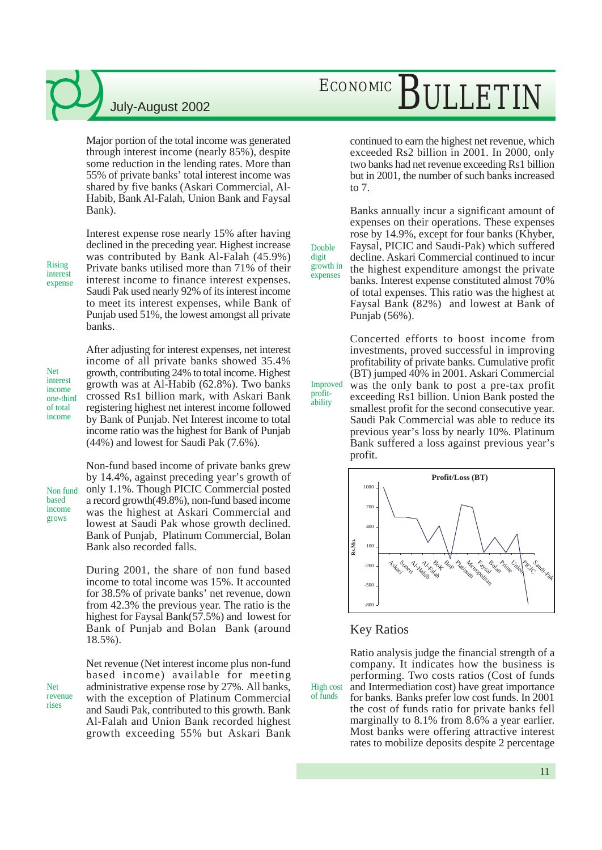Major portion of the total income was generated through interest income (nearly 85%), despite some reduction in the lending rates. More than 55% of private banks' total interest income was shared by five banks (Askari Commercial, Al-Habib, Bank Al-Falah, Union Bank and Faysal Bank).

Rising interest expense Interest expense rose nearly 15% after having declined in the preceding year. Highest increase was contributed by Bank Al-Falah (45.9%) Private banks utilised more than 71% of their interest income to finance interest expenses. Saudi Pak used nearly 92% of its interest income to meet its interest expenses, while Bank of Punjab used 51%, the lowest amongst all private banks.

Net interest income one-third of total income

After adjusting for interest expenses, net interest income of all private banks showed 35.4% growth, contributing 24% to total income. Highest growth was at Al-Habib (62.8%). Two banks crossed Rs1 billion mark, with Askari Bank registering highest net interest income followed by Bank of Punjab. Net Interest income to total income ratio was the highest for Bank of Punjab (44%) and lowest for Saudi Pak (7.6%).

Non fund based income grows

Net revenue rises

Non-fund based income of private banks grew by 14.4%, against preceding year's growth of only 1.1%. Though PICIC Commercial posted a record growth(49.8%), non-fund based income was the highest at Askari Commercial and lowest at Saudi Pak whose growth declined. Bank of Punjab, Platinum Commercial, Bolan Bank also recorded falls.

During 2001, the share of non fund based income to total income was 15%. It accounted for 38.5% of private banks' net revenue, down from 42.3% the previous year. The ratio is the highest for Faysal Bank(57.5%) and lowest for Bank of Punjab and Bolan Bank (around 18.5%).

Net revenue (Net interest income plus non-fund based income) available for meeting administrative expense rose by 27%. All banks, with the exception of Platinum Commercial and Saudi Pak, contributed to this growth. Bank Al-Falah and Union Bank recorded highest growth exceeding 55% but Askari Bank

## ECONOMIC BULLETIN

continued to earn the highest net revenue, which exceeded Rs2 billion in 2001. In 2000, only two banks had net revenue exceeding Rs1 billion but in 2001, the number of such banks increased to 7.

Banks annually incur a significant amount of expenses on their operations. These expenses rose by 14.9%, except for four banks (Khyber, Faysal, PICIC and Saudi-Pak) which suffered decline. Askari Commercial continued to incur the highest expenditure amongst the private banks. Interest expense constituted almost 70% of total expenses. This ratio was the highest at Faysal Bank (82%) and lowest at Bank of Punjab (56%). growth in

Double digit

expenses

profitability

Concerted efforts to boost income from investments, proved successful in improving profitability of private banks. Cumulative profit (BT) jumped 40% in 2001. Askari Commercial was the only bank to post a pre-tax profit exceeding Rs1 billion. Union Bank posted the smallest profit for the second consecutive year. Saudi Pak Commercial was able to reduce its previous year's loss by nearly 10%. Platinum Bank suffered a loss against previous year's profit. Improved



#### Key Ratios

High cost of funds

Ratio analysis judge the financial strength of a company. It indicates how the business is performing. Two costs ratios (Cost of funds and Intermediation cost) have great importance for banks. Banks prefer low cost funds. In 2001 the cost of funds ratio for private banks fell marginally to 8.1% from 8.6% a year earlier. Most banks were offering attractive interest rates to mobilize deposits despite 2 percentage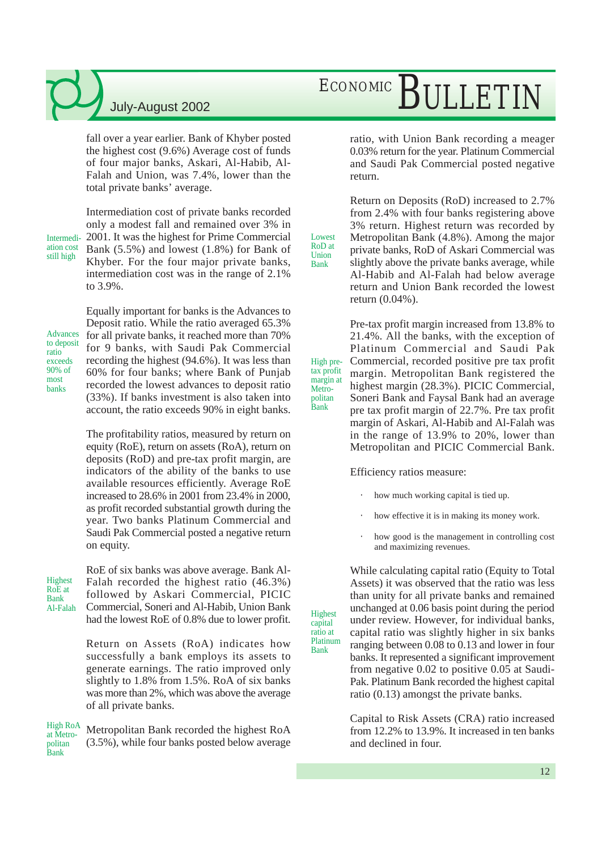fall over a year earlier. Bank of Khyber posted the highest cost (9.6%) Average cost of funds of four major banks, Askari, Al-Habib, Al-Falah and Union, was 7.4%, lower than the total private banks' average.

Intermediation cost still high

Intermediation cost of private banks recorded only a modest fall and remained over 3% in 2001. It was the highest for Prime Commercial Bank (5.5%) and lowest (1.8%) for Bank of Khyber. For the four major private banks, intermediation cost was in the range of 2.1% to 3.9%.

Advances to deposit ratio exceeds 90% of most banks

Equally important for banks is the Advances to Deposit ratio. While the ratio averaged 65.3% for all private banks, it reached more than 70% for 9 banks, with Saudi Pak Commercial recording the highest (94.6%). It was less than 60% for four banks; where Bank of Punjab recorded the lowest advances to deposit ratio (33%). If banks investment is also taken into account, the ratio exceeds 90% in eight banks.

The profitability ratios, measured by return on equity (RoE), return on assets (RoA), return on deposits (RoD) and pre-tax profit margin, are indicators of the ability of the banks to use available resources efficiently. Average RoE increased to 28.6% in 2001 from 23.4% in 2000, as profit recorded substantial growth during the year. Two banks Platinum Commercial and Saudi Pak Commercial posted a negative return on equity.

**Highest** RoE at Bank<br>Al-Falah

RoE of six banks was above average. Bank Al-Falah recorded the highest ratio (46.3%) followed by Askari Commercial, PICIC  $\overrightarrow{A}$ -Falah Commercial, Soneri and  $\overrightarrow{A}$ -Habib, Union Bank<br>highest had the lowest RoE of 0.8% due to lower profit.

> Return on Assets (RoA) indicates how successfully a bank employs its assets to generate earnings. The ratio improved only slightly to 1.8% from 1.5%. RoA of six banks was more than 2%, which was above the average of all private banks.

High RoA at Metropolitan Bank

Metropolitan Bank recorded the highest RoA (3.5%), while four banks posted below average

## ECONOMIC BULLETIN

ratio, with Union Bank recording a meager 0.03% return for the year. Platinum Commercial and Saudi Pak Commercial posted negative return.

Return on Deposits (RoD) increased to 2.7% from 2.4% with four banks registering above 3% return. Highest return was recorded by Metropolitan Bank (4.8%). Among the major private banks, RoD of Askari Commercial was slightly above the private banks average, while Al-Habib and Al-Falah had below average return and Union Bank recorded the lowest return (0.04%).

Pre-tax profit margin increased from 13.8% to 21.4%. All the banks, with the exception of Platinum Commercial and Saudi Pak Commercial, recorded positive pre tax profit margin. Metropolitan Bank registered the highest margin (28.3%). PICIC Commercial, Soneri Bank and Faysal Bank had an average pre tax profit margin of 22.7%. Pre tax profit margin of Askari, Al-Habib and Al-Falah was in the range of 13.9% to 20%, lower than Metropolitan and PICIC Commercial Bank. High pretax profit margin at

Efficiency ratios measure:

Metropolitan Bank

capital ratio at Platinum Bank

Lowest RoD at Union Bank

- how much working capital is tied up.
- how effective it is in making its money work.
- how good is the management in controlling cost and maximizing revenues.

While calculating capital ratio (Equity to Total Assets) it was observed that the ratio was less than unity for all private banks and remained unchanged at 0.06 basis point during the period under review. However, for individual banks, capital ratio was slightly higher in six banks ranging between 0.08 to 0.13 and lower in four banks. It represented a significant improvement from negative 0.02 to positive 0.05 at Saudi-Pak. Platinum Bank recorded the highest capital ratio (0.13) amongst the private banks.

Capital to Risk Assets (CRA) ratio increased from 12.2% to 13.9%. It increased in ten banks and declined in four.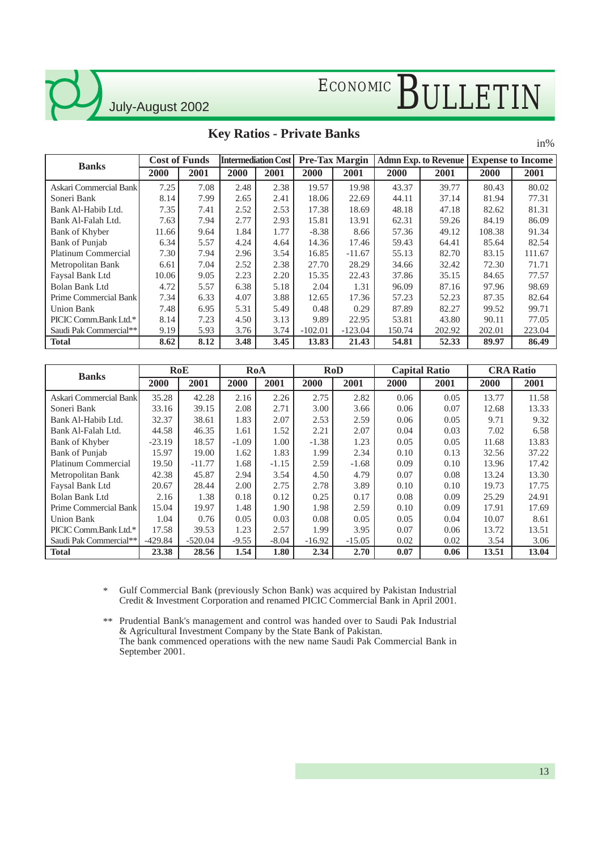July-August 2002

### **Key Ratios - Private Banks**

in%

| <b>Banks</b>           | <b>Cost of Funds</b> |      | <b>Intermediation Cost</b> |      | <b>Pre-Tax Margin</b> |           | <b>Admn Exp. to Revenue</b> |        | <b>Expense to Income</b> |        |
|------------------------|----------------------|------|----------------------------|------|-----------------------|-----------|-----------------------------|--------|--------------------------|--------|
|                        | 2000                 | 2001 | 2000                       | 2001 | 2000                  | 2001      | 2000                        | 2001   | 2000                     | 2001   |
| Askari Commercial Bank | 7.25                 | 7.08 | 2.48                       | 2.38 | 19.57                 | 19.98     | 43.37                       | 39.77  | 80.43                    | 80.02  |
| Soneri Bank            | 8.14                 | 7.99 | 2.65                       | 2.41 | 18.06                 | 22.69     | 44.11                       | 37.14  | 81.94                    | 77.31  |
| Bank Al-Habib Ltd.     | 7.35                 | 7.41 | 2.52                       | 2.53 | 17.38                 | 18.69     | 48.18                       | 47.18  | 82.62                    | 81.31  |
| Bank Al-Falah Ltd.     | 7.63                 | 7.94 | 2.77                       | 2.93 | 15.81                 | 13.91     | 62.31                       | 59.26  | 84.19                    | 86.09  |
| Bank of Khyber         | 11.66                | 9.64 | 1.84                       | 1.77 | $-8.38$               | 8.66      | 57.36                       | 49.12  | 108.38                   | 91.34  |
| <b>Bank of Punjab</b>  | 6.34                 | 5.57 | 4.24                       | 4.64 | 14.36                 | 17.46     | 59.43                       | 64.41  | 85.64                    | 82.54  |
| Platinum Commercial    | 7.30                 | 7.94 | 2.96                       | 3.54 | 16.85                 | $-11.67$  | 55.13                       | 82.70  | 83.15                    | 111.67 |
| Metropolitan Bank      | 6.61                 | 7.04 | 2.52                       | 2.38 | 27.70                 | 28.29     | 34.66                       | 32.42  | 72.30                    | 71.71  |
| Faysal Bank Ltd        | 10.06                | 9.05 | 2.23                       | 2.20 | 15.35                 | 22.43     | 37.86                       | 35.15  | 84.65                    | 77.57  |
| Bolan Bank Ltd         | 4.72                 | 5.57 | 6.38                       | 5.18 | 2.04                  | 1.31      | 96.09                       | 87.16  | 97.96                    | 98.69  |
| Prime Commercial Bank  | 7.34                 | 6.33 | 4.07                       | 3.88 | 12.65                 | 17.36     | 57.23                       | 52.23  | 87.35                    | 82.64  |
| Union Bank             | 7.48                 | 6.95 | 5.31                       | 5.49 | 0.48                  | 0.29      | 87.89                       | 82.27  | 99.52                    | 99.71  |
| PICIC Comm.Bank Ltd.*  | 8.14                 | 7.23 | 4.50                       | 3.13 | 9.89                  | 22.95     | 53.81                       | 43.80  | 90.11                    | 77.05  |
| Saudi Pak Commercial** | 9.19                 | 5.93 | 3.76                       | 3.74 | $-102.01$             | $-123.04$ | 150.74                      | 202.92 | 202.01                   | 223.04 |
| <b>Total</b>           | 8.62                 | 8.12 | 3.48                       | 3.45 | 13.83                 | 21.43     | 54.81                       | 52.33  | 89.97                    | 86.49  |

| <b>Banks</b>               |           | RoE       |         | RoA     |          | <b>RoD</b> |      | <b>Capital Ratio</b> | <b>CRA Ratio</b> |       |
|----------------------------|-----------|-----------|---------|---------|----------|------------|------|----------------------|------------------|-------|
|                            | 2000      | 2001      | 2000    | 2001    | 2000     | 2001       | 2000 | 2001                 | 2000             | 2001  |
| Askari Commercial Bank     | 35.28     | 42.28     | 2.16    | 2.26    | 2.75     | 2.82       | 0.06 | 0.05                 | 13.77            | 11.58 |
| Soneri Bank                | 33.16     | 39.15     | 2.08    | 2.71    | 3.00     | 3.66       | 0.06 | 0.07                 | 12.68            | 13.33 |
| Bank Al-Habib Ltd.         | 32.37     | 38.61     | 1.83    | 2.07    | 2.53     | 2.59       | 0.06 | 0.05                 | 9.71             | 9.32  |
| Bank Al-Falah Ltd.         | 44.58     | 46.35     | 1.61    | 1.52    | 2.21     | 2.07       | 0.04 | 0.03                 | 7.02             | 6.58  |
| Bank of Khyber             | $-23.19$  | 18.57     | $-1.09$ | 1.00    | $-1.38$  | 1.23       | 0.05 | 0.05                 | 11.68            | 13.83 |
| Bank of Punjab             | 15.97     | 19.00     | 1.62    | 1.83    | 1.99     | 2.34       | 0.10 | 0.13                 | 32.56            | 37.22 |
| <b>Platinum Commercial</b> | 19.50     | $-11.77$  | 1.68    | $-1.15$ | 2.59     | $-1.68$    | 0.09 | 0.10                 | 13.96            | 17.42 |
| Metropolitan Bank          | 42.38     | 45.87     | 2.94    | 3.54    | 4.50     | 4.79       | 0.07 | 0.08                 | 13.24            | 13.30 |
| Faysal Bank Ltd            | 20.67     | 28.44     | 2.00    | 2.75    | 2.78     | 3.89       | 0.10 | 0.10                 | 19.73            | 17.75 |
| Bolan Bank Ltd             | 2.16      | 1.38      | 0.18    | 0.12    | 0.25     | 0.17       | 0.08 | 0.09                 | 25.29            | 24.91 |
| Prime Commercial Bank      | 15.04     | 19.97     | 1.48    | 1.90    | 1.98     | 2.59       | 0.10 | 0.09                 | 17.91            | 17.69 |
| <b>Union Bank</b>          | 1.04      | 0.76      | 0.05    | 0.03    | 0.08     | 0.05       | 0.05 | 0.04                 | 10.07            | 8.61  |
| PICIC Comm.Bank Ltd.*      | 17.58     | 39.53     | 1.23    | 2.57    | 1.99     | 3.95       | 0.07 | 0.06                 | 13.72            | 13.51 |
| Saudi Pak Commercial**     | $-429.84$ | $-520.04$ | $-9.55$ | $-8.04$ | $-16.92$ | $-15.05$   | 0.02 | 0.02                 | 3.54             | 3.06  |
| <b>Total</b>               | 23.38     | 28.56     | 1.54    | 1.80    | 2.34     | 2.70       | 0.07 | 0.06                 | 13.51            | 13.04 |

Gulf Commercial Bank (previously Schon Bank) was acquired by Pakistan Industrial Credit & Investment Corporation and renamed PICIC Commercial Bank in April 2001. \*

\*\* Prudential Bank's management and control was handed over to Saudi Pak Industrial & Agricultural Investment Company by the State Bank of Pakistan. The bank commenced operations with the new name Saudi Pak Commercial Bank in September 2001.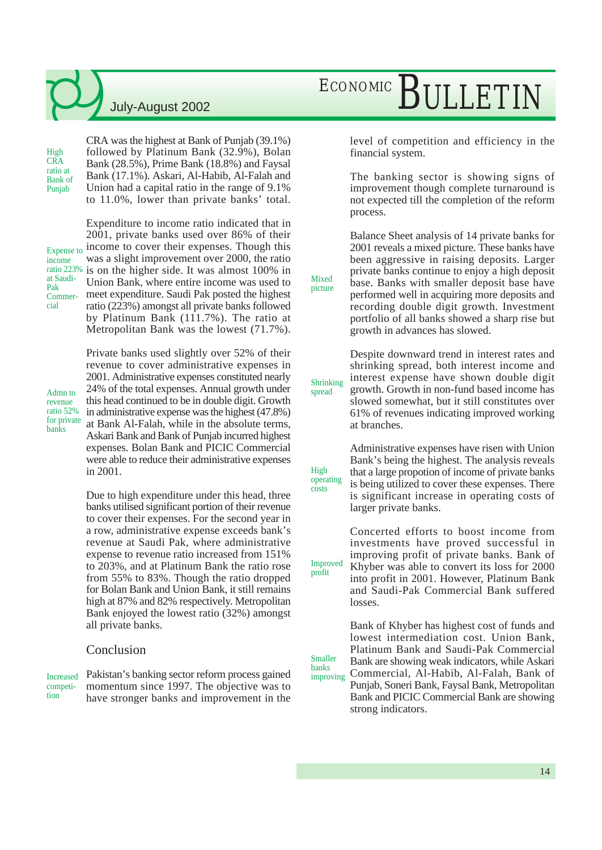High **CRA** ratio at Bank of Punjab

CRA was the highest at Bank of Punjab (39.1%) followed by Platinum Bank (32.9%), Bolan Bank (28.5%), Prime Bank (18.8%) and Faysal Bank (17.1%). Askari, Al-Habib, Al-Falah and Union had a capital ratio in the range of 9.1% to 11.0%, lower than private banks' total.

Expense to income at Saudi-Pak Commercial

Expenditure to income ratio indicated that in 2001, private banks used over 86% of their income to cover their expenses. Though this was a slight improvement over 2000, the ratio ratio 223% is on the higher side. It was almost 100% in Union Bank, where entire income was used to meet expenditure. Saudi Pak posted the highest ratio (223%) amongst all private banks followed by Platinum Bank (111.7%). The ratio at Metropolitan Bank was the lowest (71.7%).

Admn to revenue ratio 52% for private banks

Private banks used slightly over 52% of their revenue to cover administrative expenses in 2001. Administrative expenses constituted nearly 24% of the total expenses. Annual growth under this head continued to be in double digit. Growth in administrative expense was the highest (47.8%) at Bank Al-Falah, while in the absolute terms, Askari Bank and Bank of Punjab incurred highest expenses. Bolan Bank and PICIC Commercial were able to reduce their administrative expenses in 2001.

Due to high expenditure under this head, three banks utilised significant portion of their revenue to cover their expenses. For the second year in a row, administrative expense exceeds bank's revenue at Saudi Pak, where administrative expense to revenue ratio increased from 151% to 203%, and at Platinum Bank the ratio rose from 55% to 83%. Though the ratio dropped for Bolan Bank and Union Bank, it still remains high at 87% and 82% respectively. Metropolitan Bank enjoyed the lowest ratio (32%) amongst all private banks.

#### Conclusion

competition

Increased Pakistan's banking sector reform process gained improving momentum since 1997. The objective was to have stronger banks and improvement in the

## ECONOMIC BULLETIN

level of competition and efficiency in the financial system.

The banking sector is showing signs of improvement though complete turnaround is not expected till the completion of the reform process.

Balance Sheet analysis of 14 private banks for 2001 reveals a mixed picture. These banks have been aggressive in raising deposits. Larger private banks continue to enjoy a high deposit base. Banks with smaller deposit base have performed well in acquiring more deposits and recording double digit growth. Investment portfolio of all banks showed a sharp rise but growth in advances has slowed.

Mixed picture

High operating costs

profit

Smaller

Despite downward trend in interest rates and shrinking spread, both interest income and interest expense have shown double digit growth. Growth in non-fund based income has slowed somewhat, but it still constitutes over 61% of revenues indicating improved working at branches. Shrinking spread

> Administrative expenses have risen with Union Bank's being the highest. The analysis reveals that a large propotion of income of private banks is being utilized to cover these expenses. There is significant increase in operating costs of larger private banks.

Concerted efforts to boost income from investments have proved successful in improving profit of private banks. Bank of Khyber was able to convert its loss for 2000 into profit in 2001. However, Platinum Bank and Saudi-Pak Commercial Bank suffered losses. Improved

Bank of Khyber has highest cost of funds and lowest intermediation cost. Union Bank, Platinum Bank and Saudi-Pak Commercial Bank are showing weak indicators, while Askari Commercial, Al-Habib, Al-Falah, Bank of banks<br>improving

Punjab, Soneri Bank, Faysal Bank, Metropolitan Bank and PICIC Commercial Bank are showing strong indicators.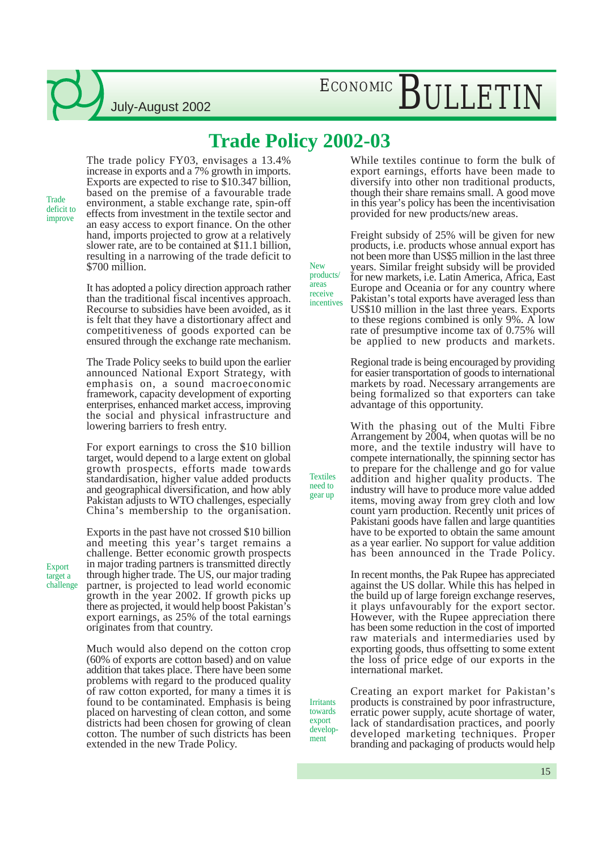### **Trade Policy 2002-03**

**Trade** deficit to improve

The trade policy FY03, envisages a 13.4% increase in exports and a 7% growth in imports. Exports are expected to rise to \$10.347 billion, based on the premise of a favourable trade environment, a stable exchange rate, spin-off effects from investment in the textile sector and an easy access to export finance. On the other hand, imports projected to grow at a relatively slower rate, are to be contained at \$11.1 billion, resulting in a narrowing of the trade deficit to \$700 million.

July-August 2002

It has adopted a policy direction approach rather than the traditional fiscal incentives approach. Recourse to subsidies have been avoided, as it is felt that they have a distortionary affect and competitiveness of goods exported can be ensured through the exchange rate mechanism.

The Trade Policy seeks to build upon the earlier announced National Export Strategy, with emphasis on, a sound macroeconomic framework, capacity development of exporting enterprises, enhanced market access, improving the social and physical infrastructure and lowering barriers to fresh entry.

For export earnings to cross the \$10 billion target, would depend to a large extent on global growth prospects, efforts made towards standardisation, higher value added products and geographical diversification, and how ably Pakistan adjusts to WTO challenges, especially China's membership to the organisation.

Exports in the past have not crossed \$10 billion and meeting this year's target remains a challenge. Better economic growth prospects in major trading partners is transmitted directly through higher trade. The US, our major trading partner, is projected to lead world economic growth in the year 2002. If growth picks up there as projected, it would help boost Pakistan's export earnings, as 25% of the total earnings originates from that country.

Much would also depend on the cotton crop (60% of exports are cotton based) and on value addition that takes place. There have been some problems with regard to the produced quality of raw cotton exported, for many a times it is found to be contaminated. Emphasis is being placed on harvesting of clean cotton, and some districts had been chosen for growing of clean cotton. The number of such districts has been extended in the new Trade Policy.

While textiles continue to form the bulk of export earnings, efforts have been made to diversify into other non traditional products, though their share remains small. A good move in this year's policy has been the incentivisation provided for new products/new areas.

New products/ areas receive incentives

**Irritants** towards export development

Textiles need to gear up

Freight subsidy of 25% will be given for new products, i.e. products whose annual export has not been more than US\$5 million in the last three years. Similar freight subsidy will be provided for new markets, i.e. Latin America, Africa, East Europe and Oceania or for any country where Pakistan's total exports have averaged less than US\$10 million in the last three years. Exports to these regions combined is only 9%. A low rate of presumptive income tax of 0.75% will be applied to new products and markets.

Regional trade is being encouraged by providing for easier transportation of goods to international markets by road. Necessary arrangements are being formalized so that exporters can take advantage of this opportunity.

With the phasing out of the Multi Fibre Arrangement by 2004, when quotas will be no more, and the textile industry will have to compete internationally, the spinning sector has to prepare for the challenge and go for value addition and higher quality products. The industry will have to produce more value added items, moving away from grey cloth and low count yarn production. Recently unit prices of Pakistani goods have fallen and large quantities have to be exported to obtain the same amount as a year earlier. No support for value addition has been announced in the Trade Policy.

In recent months, the Pak Rupee has appreciated against the US dollar. While this has helped in the build up of large foreign exchange reserves, it plays unfavourably for the export sector. However, with the Rupee appreciation there has been some reduction in the cost of imported raw materials and intermediaries used by exporting goods, thus offsetting to some extent the loss of price edge of our exports in the international market.

Creating an export market for Pakistan's products is constrained by poor infrastructure, erratic power supply, acute shortage of water, lack of standardisation practices, and poorly developed marketing techniques. Proper branding and packaging of products would help

**Export** target a challenge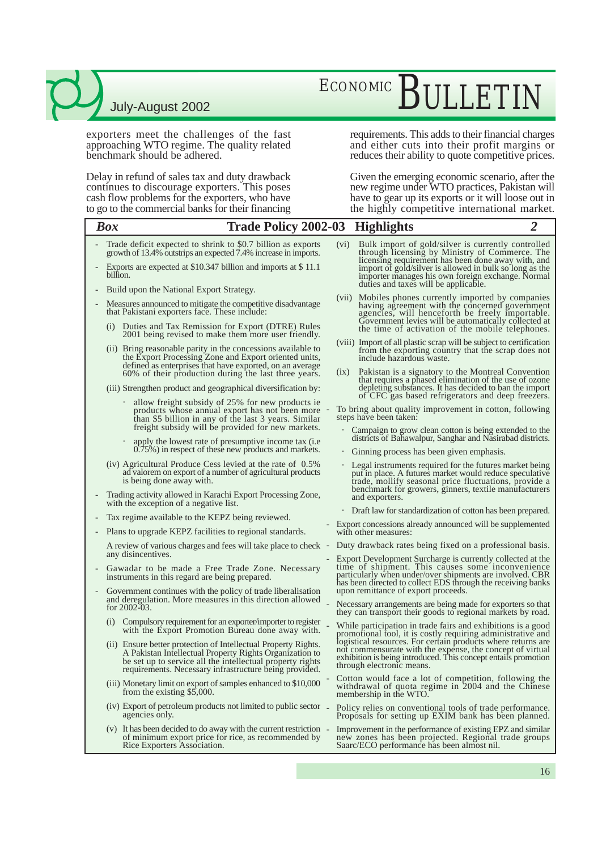exporters meet the challenges of the fast approaching WTO regime. The quality related benchmark should be adhered.

Delay in refund of sales tax and duty drawback continues to discourage exporters. This poses cash flow problems for the exporters, who have to go to the commercial banks for their financing

## ECONOMIC BULLETIN

requirements. This adds to their financial charges and either cuts into their profit margins or reduces their ability to quote competitive prices.

Given the emerging economic scenario, after the new regime under WTO practices, Pakistan will have to gear up its exports or it will loose out in the highly competitive international market.

|                          | <b>Box</b><br><b>Trade Policy 2002-03</b>                                                                                                                                                                                                                                                        |                   | <b>Highlights</b>                                                                                                                                                                                                                                                                                                  | $\overline{2}$ |
|--------------------------|--------------------------------------------------------------------------------------------------------------------------------------------------------------------------------------------------------------------------------------------------------------------------------------------------|-------------------|--------------------------------------------------------------------------------------------------------------------------------------------------------------------------------------------------------------------------------------------------------------------------------------------------------------------|----------------|
|                          | Trade deficit expected to shrink to \$0.7 billion as exports<br>growth of 13.4% outstrips an expected 7.4% increase in imports.<br>Exports are expected at \$10.347 billion and imports at \$11.1<br>billion.                                                                                    | (v <sub>i</sub> ) | Bulk import of gold/silver is currently controlled<br>through licensing by Ministry of Commerce. The<br>licensing requirement has been done away with, and<br>import of gold/silver is allowed in bulk so long as the<br>importer manages his own foreign exchange. Normal<br>duties and taxes will be applicable. |                |
| $\overline{\phantom{0}}$ | Build upon the National Export Strategy.<br>Measures announced to mitigate the competitive disadvantage<br>that Pakistani exporters face. These include:<br>(i) Duties and Tax Remission for Export (DTRE) Rules                                                                                 |                   | (vii) Mobiles phones currently imported by companies<br>having agreement with the concerned government<br>agencies, will henceforth be freely importable.<br>Government levies will be automatically collected at<br>the time of activation of the mobile telephones.                                              |                |
|                          | 2001 being revised to make them more user friendly.<br>(ii) Bring reasonable parity in the concessions available to<br>the Export Processing Zone and Export oriented units,<br>defined as enterprises that have exported, on an average<br>60% of their production during the last three years. | (1X)              | (viii) Import of all plastic scrap will be subject to certification<br>from the exporting country that the scrap does not<br>include hazardous waste.<br>Pakistan is a signatory to the Montreal Convention                                                                                                        |                |
|                          | (iii) Strengthen product and geographical diversification by:                                                                                                                                                                                                                                    |                   | that requires a phased elimination of the use of ozone<br>depleting substances. It has decided to ban the import<br>of CFC gas based refrigerators and deep freezers.                                                                                                                                              |                |
|                          | allow freight subsidy of 25% for new products ie<br>products whose annual export has not been more<br>than \$5 billion in any of the last 3 years. Similar<br>freight subsidy will be provided for new markets.                                                                                  |                   | To bring about quality improvement in cotton, following<br>steps have been taken:                                                                                                                                                                                                                                  |                |
|                          | apply the lowest rate of presumptive income tax (i.e.<br>$\bullet$<br>0.75%) in respect of these new products and markets.                                                                                                                                                                       |                   | • Campaign to grow clean cotton is being extended to the<br>districts of Bahawalpur, Sanghar and Nasirabad districts.<br>• Ginning process has been given emphasis.                                                                                                                                                |                |
|                          | $(iv)$ Agricultural Produce Cess levied at the rate of $0.5\%$<br>ad valorem on export of a number of agricultural products<br>is being done away with.                                                                                                                                          |                   | • Legal instruments required for the futures market being<br>put in place. A futures market would reduce speculative<br>trade, mollify seasonal price fluctuations, provide a<br>benchmark for growers, ginners, textile manufacturers                                                                             |                |
|                          | Trading activity allowed in Karachi Export Processing Zone,<br>with the exception of a negative list.                                                                                                                                                                                            |                   | and exporters.                                                                                                                                                                                                                                                                                                     |                |
| $\overline{\phantom{a}}$ | Tax regime available to the KEPZ being reviewed.                                                                                                                                                                                                                                                 |                   | • Draft law for standardization of cotton has been prepared.<br>- Export concessions already announced will be supplemented                                                                                                                                                                                        |                |
|                          | Plans to upgrade KEPZ facilities to regional standards.                                                                                                                                                                                                                                          |                   | with other measures:                                                                                                                                                                                                                                                                                               |                |
|                          | A review of various charges and fees will take place to check -<br>any disincentives.                                                                                                                                                                                                            |                   | Duty drawback rates being fixed on a professional basis.                                                                                                                                                                                                                                                           |                |
|                          | Gawadar to be made a Free Trade Zone. Necessary<br>instruments in this regard are being prepared.                                                                                                                                                                                                |                   | Export Development Surcharge is currently collected at the<br>time of shipment. This causes some inconvenience<br>particularly when under/over shipments are involved. CBR<br>has been directed to collect EDS through the receiving banks                                                                         |                |
|                          | Government continues with the policy of trade liberalisation<br>and deregulation. More measures in this direction allowed<br>for $2002-03$ .                                                                                                                                                     |                   | upon remittance of export proceeds.<br>Necessary arrangements are being made for exporters so that<br>they can transport their goods to regional markets by road.                                                                                                                                                  |                |
|                          | Compulsory requirement for an exporter/importer to register<br>(1)<br>with the Export Promotion Bureau done away with.                                                                                                                                                                           |                   | While participation in trade fairs and exhibitions is a good<br>promotional tool, it is costly requiring administrative and                                                                                                                                                                                        |                |
|                          | (ii) Ensure better protection of Intellectual Property Rights.<br>A Pakistan Intellectual Property Rights Organization to<br>be set up to service all the intellectual property rights<br>requirements. Necessary infrastructure being provided.                                                 |                   | logistical resources. For certain products where returns are<br>not commensurate with the expense, the concept of virtual<br>exhibition is being introduced. This concept entails promotion<br>through electronic means.                                                                                           |                |
|                          | (iii) Monetary limit on export of samples enhanced to \$10,000<br>from the existing \$5,000.                                                                                                                                                                                                     |                   | Cotton would face a lot of competition, following the<br>withdrawal of quota regime in 2004 and the Chinese<br>membership in the WTO.                                                                                                                                                                              |                |
|                          | (iv) Export of petroleum products not limited to public sector –<br>agencies only.                                                                                                                                                                                                               |                   | Policy relies on conventional tools of trade performance.<br>Proposals for setting up EXIM bank has been planned.                                                                                                                                                                                                  |                |
|                          | (v) It has been decided to do away with the current restriction –<br>of minimum export price for rice, as recommended by<br>Rice Exporters Association.                                                                                                                                          |                   | Improvement in the performance of existing EPZ and similar<br>new zones has been projected. Regional trade groups<br>Saarc/ECO performance has been almost nil.                                                                                                                                                    |                |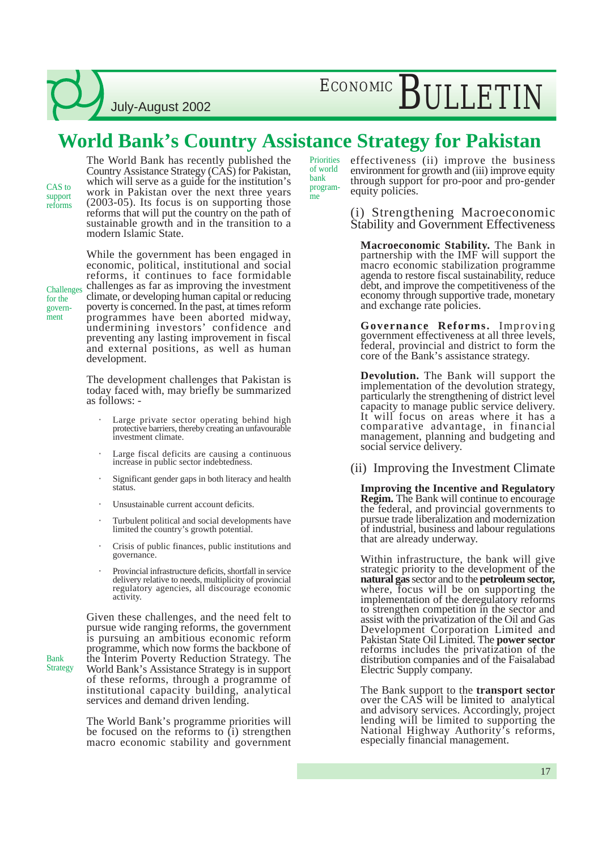July-August 2002

### **World Bank's Country Assistance Strategy for Pakistan**

bank

me

CAS to support reforms The World Bank has recently published the Country Assistance Strategy (CAS) for Pakistan, which will serve as a guide for the institution's work in Pakistan over the next three years (2003-05). Its focus is on supporting those reforms that will put the country on the path of sustainable growth and in the transition to a modern Islamic State.

**Challenges** for the government

Bank Strategy

While the government has been engaged in economic, political, institutional and social reforms, it continues to face formidable challenges as far as improving the investment climate, or developing human capital or reducing poverty is concerned. In the past, at times reform programmes have been aborted midway, undermining investors' confidence and preventing any lasting improvement in fiscal and external positions, as well as human development.

The development challenges that Pakistan is today faced with, may briefly be summarized as follows: -

- Large private sector operating behind high protective barriers, thereby creating an unfavourable investment climate.
- Large fiscal deficits are causing a continuous increase in public sector indebtedness.
- Significant gender gaps in both literacy and health status.
- Unsustainable current account deficits.
- Turbulent political and social developments have limited the country's growth potential.
- Crisis of public finances, public institutions and governance.
- Provincial infrastructure deficits, shortfall in service delivery relative to needs, multiplicity of provincial regulatory agencies, all discourage economic activity.

Given these challenges, and the need felt to pursue wide ranging reforms, the government is pursuing an ambitious economic reform programme, which now forms the backbone of the Interim Poverty Reduction Strategy. The World Bank's Assistance Strategy is in support of these reforms, through a programme of institutional capacity building, analytical services and demand driven lending.

The World Bank's programme priorities will be focused on the reforms to (i) strengthen macro economic stability and government

effectiveness (ii) improve the business environment for growth and (iii) improve equity through support for pro-poor and pro-gender equity policies. **Priorities** of world program-

> (i) Strengthening Macroeconomic Stability and Government Effectiveness

**Macroeconomic Stability.** The Bank in partnership with the IMF will support the macro economic stabilization programme agenda to restore fiscal sustainability, reduce debt, and improve the competitiveness of the economy through supportive trade, monetary and exchange rate policies.

**Governance Reforms.** Improving government effectiveness at all three levels, federal, provincial and district to form the core of the Bank's assistance strategy.

**Devolution.** The Bank will support the implementation of the devolution strategy, particularly the strengthening of district level capacity to manage public service delivery. It will focus on areas where it has a comparative advantage, in financial management, planning and budgeting and social service delivery.

(ii) Improving the Investment Climate

**Improving the Incentive and Regulatory Regim.** The Bank will continue to encourage the federal, and provincial governments to pursue trade liberalization and modernization of industrial, business and labour regulations that are already underway.

Within infrastructure, the bank will give strategic priority to the development of the **natural gas** sector and to the **petroleum sector,** where, focus will be on supporting the implementation of the deregulatory reforms to strengthen competition in the sector and assist with the privatization of the Oil and Gas Development Corporation Limited and Pakistan State Oil Limited. The **power sector** reforms includes the privatization of the distribution companies and of the Faisalabad Electric Supply company.

The Bank support to the **transport sector** over the CAS will be limited to analytical and advisory services. Accordingly, project lending will be limited to supporting the National Highway Authority's reforms, especially financial management.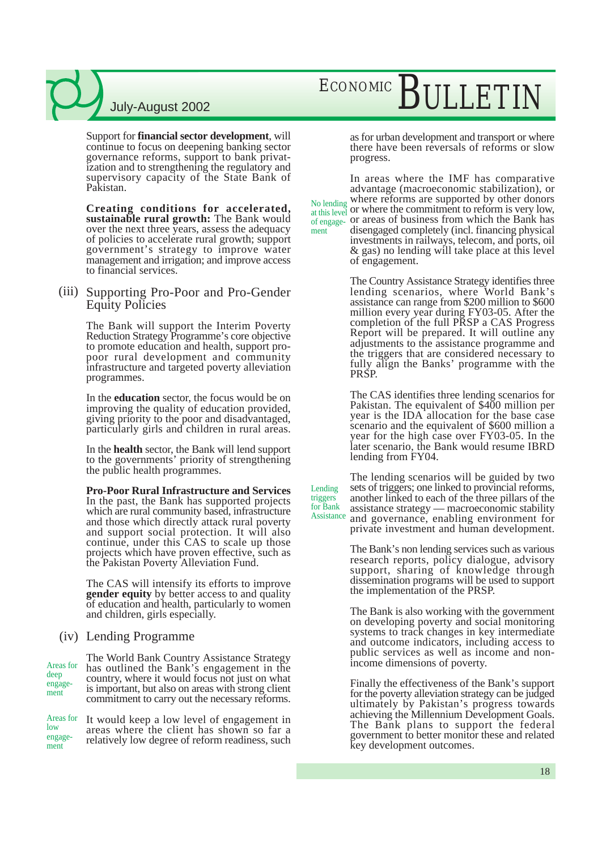Support for **financial sector development**, will continue to focus on deepening banking sector governance reforms, support to bank privatization and to strengthening the regulatory and supervisory capacity of the State Bank of Pakistan.

**Creating conditions for accelerated, sustainable rural growth:** The Bank would over the next three years, assess the adequacy of policies to accelerate rural growth; support government's strategy to improve water management and irrigation; and improve access to financial services.

#### (iii) Supporting Pro-Poor and Pro-Gender Equity Policies

The Bank will support the Interim Poverty Reduction Strategy Programme's core objective to promote education and health, support propoor rural development and community infrastructure and targeted poverty alleviation programmes.

In the **education** sector, the focus would be on improving the quality of education provided, giving priority to the poor and disadvantaged, particularly girls and children in rural areas.

In the **health** sector, the Bank will lend support to the governments' priority of strengthening the public health programmes.

**Pro-Poor Rural Infrastructure and Services** In the past, the Bank has supported projects which are rural community based, infrastructure and those which directly attack rural poverty and support social protection. It will also continue, under this CAS to scale up those projects which have proven effective, such as the Pakistan Poverty Alleviation Fund.

The CAS will intensify its efforts to improve **gender equity** by better access to and quality of education and health, particularly to women and children, girls especially.

#### Lending Programme (iv)

The World Bank Country Assistance Strategy has outlined the Bank's engagement in the country, where it would focus not just on what is important, but also on areas with strong client commitment to carry out the necessary reforms. Areas for deep engagement

It would keep a low level of engagement in areas where the client has shown so far a relatively low degree of reform readiness, such Areas for low engagement

## ECONOMIC BULLETIN

as for urban development and transport or where there have been reversals of reforms or slow progress.

In areas where the IMF has comparative advantage (macroeconomic stabilization), or where reforms are supported by other donors at this level or where the commitment to reform is very low, or areas of business from which the Bank has disengaged completely (incl. financing physical investments in railways, telecom, and ports, oil & gas) no lending will take place at this level of engagement. No lending of engagement

> The Country Assistance Strategy identifies three lending scenarios, where World Bank's assistance can range from \$200 million to \$600 million every year during FY03-05. After the completion of the full PRSP a CAS Progress Report will be prepared. It will outline any adjustments to the assistance programme and the triggers that are considered necessary to fully align the Banks' programme with the PRSP.

> The CAS identifies three lending scenarios for Pakistan. The equivalent of \$400 million per year is the IDA allocation for the base case scenario and the equivalent of \$600 million a year for the high case over FY03-05. In the later scenario, the Bank would resume IBRD lending from FY04.

The lending scenarios will be guided by two sets of triggers; one linked to provincial reforms, another linked to each of the three pillars of the assistance strategy — macroeconomic stability and governance, enabling environment for private investment and human development. Lending for Bank Assistance

triggers

The Bank's non lending services such as various research reports, policy dialogue, advisory support, sharing of knowledge through dissemination programs will be used to support the implementation of the PRSP.

The Bank is also working with the government on developing poverty and social monitoring systems to track changes in key intermediate and outcome indicators, including access to public services as well as income and nonincome dimensions of poverty.

Finally the effectiveness of the Bank's support for the poverty alleviation strategy can be judged ultimately by Pakistan's progress towards achieving the Millennium Development Goals. The Bank plans to support the federal government to better monitor these and related key development outcomes.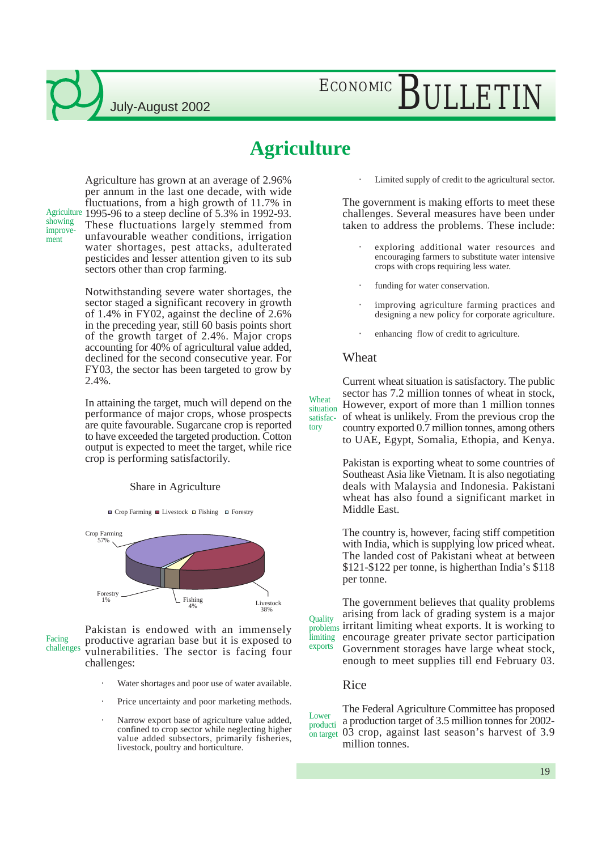showing improvement

## ECONOMIC BULLETIN

### **Agriculture**

Agriculture has grown at an average of 2.96% per annum in the last one decade, with wide fluctuations, from a high growth of 11.7% in Agriculture 1995-96 to a steep decline of 5.3% in 1992-93. These fluctuations largely stemmed from unfavourable weather conditions, irrigation water shortages, pest attacks, adulterated pesticides and lesser attention given to its sub sectors other than crop farming.

> Notwithstanding severe water shortages, the sector staged a significant recovery in growth of 1.4% in FY02, against the decline of 2.6% in the preceding year, still 60 basis points short of the growth target of 2.4%. Major crops accounting for 40% of agricultural value added, declined for the second consecutive year. For FY03, the sector has been targeted to grow by 2.4%.

> In attaining the target, much will depend on the performance of major crops, whose prospects are quite favourable. Sugarcane crop is reported to have exceeded the targeted production. Cotton output is expected to meet the target, while rice crop is performing satisfactorily.

#### Share in Agriculture

 $\Box$  Crop Farming  $\Box$  Livestock  $\Box$  Fishing  $\Box$  Forestry



Pakistan is endowed with an immensely productive agrarian base but it is exposed to vulnerabilities. The sector is facing four challenges: Facing challenges

- Water shortages and poor use of water available.
- Price uncertainty and poor marketing methods.
- Narrow export base of agriculture value added, confined to crop sector while neglecting higher value added subsectors, primarily fisheries, livestock, poultry and horticulture.

Limited supply of credit to the agricultural sector.

The government is making efforts to meet these challenges. Several measures have been under taken to address the problems. These include:

- exploring additional water resources and encouraging farmers to substitute water intensive crops with crops requiring less water.
- funding for water conservation.
- improving agriculture farming practices and designing a new policy for corporate agriculture.
- enhancing flow of credit to agriculture.

#### Wheat

Current wheat situation is satisfactory. The public sector has 7.2 million tonnes of wheat in stock, However, export of more than 1 million tonnes of wheat is unlikely. From the previous crop the country exported 0.7 million tonnes, among others to UAE, Egypt, Somalia, Ethopia, and Kenya. Wheat situation satisfactory

> Pakistan is exporting wheat to some countries of Southeast Asia like Vietnam. It is also negotiating deals with Malaysia and Indonesia. Pakistani wheat has also found a significant market in Middle East.

> The country is, however, facing stiff competition with India, which is supplying low priced wheat. The landed cost of Pakistani wheat at between \$121-\$122 per tonne, is higherthan India's \$118 per tonne.

The government believes that quality problems arising from lack of grading system is a major problems irritant limiting wheat exports. It is working to encourage greater private sector participation Government storages have large wheat stock, enough to meet supplies till end February 03. **Quality** limiting exports

#### Rice

The Federal Agriculture Committee has proposed a production target of 3.5 million tonnes for 2002- 03 crop, against last season's harvest of 3.9 million tonnes. Lower producti on target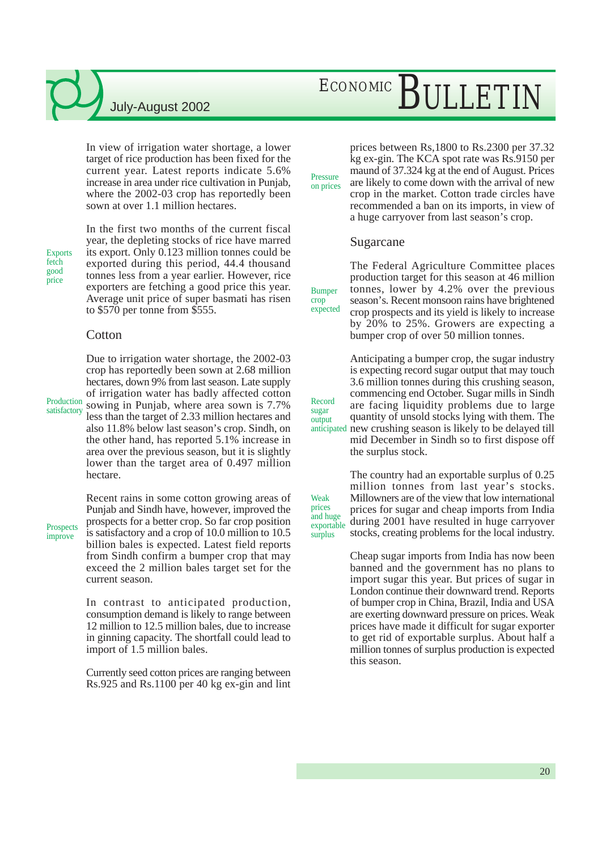## ECONOMIC BULLETIN

In view of irrigation water shortage, a lower target of rice production has been fixed for the current year. Latest reports indicate 5.6% increase in area under rice cultivation in Punjab, where the 2002-03 crop has reportedly been sown at over 1.1 million hectares.

Exports fetch good price

In the first two months of the current fiscal year, the depleting stocks of rice have marred its export. Only 0.123 million tonnes could be exported during this period, 44.4 thousand tonnes less from a year earlier. However, rice exporters are fetching a good price this year. Average unit price of super basmati has risen to \$570 per tonne from \$555.

#### **Cotton**

Production satisfactory

crop has reportedly been sown at 2.68 million hectares, down 9% from last season. Late supply of irrigation water has badly affected cotton sowing in Punjab, where area sown is 7.7% less than the target of 2.33 million hectares and also 11.8% below last season's crop. Sindh, on the other hand, has reported 5.1% increase in area over the previous season, but it is slightly lower than the target area of 0.497 million hectare.

Due to irrigation water shortage, the 2002-03

**Prospects** improve

Recent rains in some cotton growing areas of Punjab and Sindh have, however, improved the prospects for a better crop. So far crop position is satisfactory and a crop of 10.0 million to 10.5 billion bales is expected. Latest field reports from Sindh confirm a bumper crop that may exceed the 2 million bales target set for the current season.

In contrast to anticipated production, consumption demand is likely to range between 12 million to 12.5 million bales, due to increase in ginning capacity. The shortfall could lead to import of 1.5 million bales.

Currently seed cotton prices are ranging between Rs.925 and Rs.1100 per 40 kg ex-gin and lint

prices between Rs,1800 to Rs.2300 per 37.32 kg ex-gin. The KCA spot rate was Rs.9150 per maund of 37.324 kg at the end of August. Prices are likely to come down with the arrival of new crop in the market. Cotton trade circles have recommended a ban on its imports, in view of a huge carryover from last season's crop.

#### Sugarcane

Pressure on prices

Bumper crop expected

Record sugar output

Weak prices

surplus

The Federal Agriculture Committee places production target for this season at 46 million tonnes, lower by 4.2% over the previous season's. Recent monsoon rains have brightened crop prospects and its yield is likely to increase by 20% to 25%. Growers are expecting a bumper crop of over 50 million tonnes.

Anticipating a bumper crop, the sugar industry is expecting record sugar output that may touch 3.6 million tonnes during this crushing season, commencing end October. Sugar mills in Sindh are facing liquidity problems due to large quantity of unsold stocks lying with them. The new crushing season is likely to be delayed till mid December in Sindh so to first dispose off the surplus stock. anticipated

The country had an exportable surplus of 0.25 million tonnes from last year's stocks. Millowners are of the view that low international prices for sugar and cheap imports from India during 2001 have resulted in huge carryover stocks, creating problems for the local industry. and huge exportable

> Cheap sugar imports from India has now been banned and the government has no plans to import sugar this year. But prices of sugar in London continue their downward trend. Reports of bumper crop in China, Brazil, India and USA are exerting downward pressure on prices. Weak prices have made it difficult for sugar exporter to get rid of exportable surplus. About half a million tonnes of surplus production is expected this season.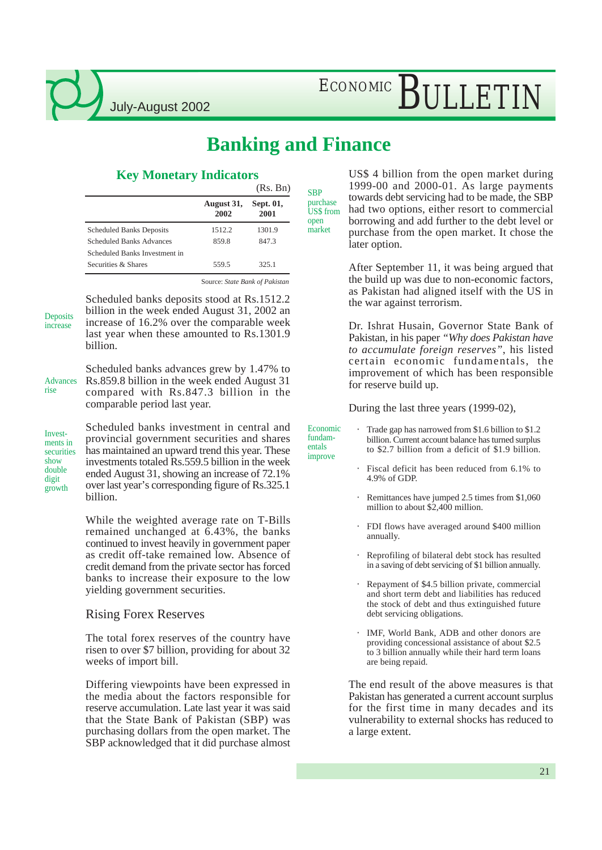ECONOMIC BULLETIN

### **Banking and Finance**

Economic fundamentals improve

### **Key Monetary Indicators**

|                                 |                    | (Rs. Bn)          | <b>SBP</b>                           |
|---------------------------------|--------------------|-------------------|--------------------------------------|
|                                 | August 31,<br>2002 | Sept. 01,<br>2001 | purchase<br><b>US\$</b> from<br>open |
| <b>Scheduled Banks Deposits</b> | 1512.2             | 1301.9            | market                               |
| <b>Scheduled Banks Advances</b> | 859.8              | 847.3             |                                      |
| Scheduled Banks Investment in   |                    |                   |                                      |
| Securities & Shares             | 559.5              | 325.1             |                                      |

Source: *State Bank of Pakistan*

**Deposits** increase

Scheduled banks deposits stood at Rs.1512.2 billion in the week ended August 31, 2002 an increase of 16.2% over the comparable week last year when these amounted to Rs.1301.9 billion.

Advances rise

Scheduled banks advances grew by 1.47% to Rs.859.8 billion in the week ended August 31 compared with Rs.847.3 billion in the comparable period last year.

Investments in securities show double digit growth

Scheduled banks investment in central and provincial government securities and shares has maintained an upward trend this year. These investments totaled Rs.559.5 billion in the week ended August 31, showing an increase of 72.1% over last year's corresponding figure of Rs.325.1 billion.

While the weighted average rate on T-Bills remained unchanged at 6.43%, the banks continued to invest heavily in government paper as credit off-take remained low. Absence of credit demand from the private sector has forced banks to increase their exposure to the low yielding government securities.

#### Rising Forex Reserves

The total forex reserves of the country have risen to over \$7 billion, providing for about 32 weeks of import bill.

Differing viewpoints have been expressed in the media about the factors responsible for reserve accumulation. Late last year it was said that the State Bank of Pakistan (SBP) was purchasing dollars from the open market. The SBP acknowledged that it did purchase almost

US\$ 4 billion from the open market during 1999-00 and 2000-01. As large payments towards debt servicing had to be made, the SBP had two options, either resort to commercial borrowing and add further to the debt level or purchase from the open market. It chose the later option.

After September 11, it was being argued that the build up was due to non-economic factors, as Pakistan had aligned itself with the US in the war against terrorism.

Dr. Ishrat Husain, Governor State Bank of Pakistan, in his paper *"Why does Pakistan have to accumulate foreign reserves"*, his listed certain economic fundamentals, the improvement of which has been responsible for reserve build up.

During the last three years (1999-02),

- Trade gap has narrowed from \$1.6 billion to \$1.2 billion. Current account balance has turned surplus to \$2.7 billion from a deficit of \$1.9 billion.
	- Fiscal deficit has been reduced from 6.1% to 4.9% of GDP.
	- Remittances have jumped 2.5 times from \$1,060 million to about \$2,400 million.
	- FDI flows have averaged around \$400 million annually.
	- Reprofiling of bilateral debt stock has resulted in a saving of debt servicing of \$1 billion annually.
	- Repayment of \$4.5 billion private, commercial and short term debt and liabilities has reduced the stock of debt and thus extinguished future debt servicing obligations.
	- IMF, World Bank, ADB and other donors are providing concessional assistance of about \$2.5 to 3 billion annually while their hard term loans are being repaid.

The end result of the above measures is that Pakistan has generated a current account surplus for the first time in many decades and its vulnerability to external shocks has reduced to a large extent.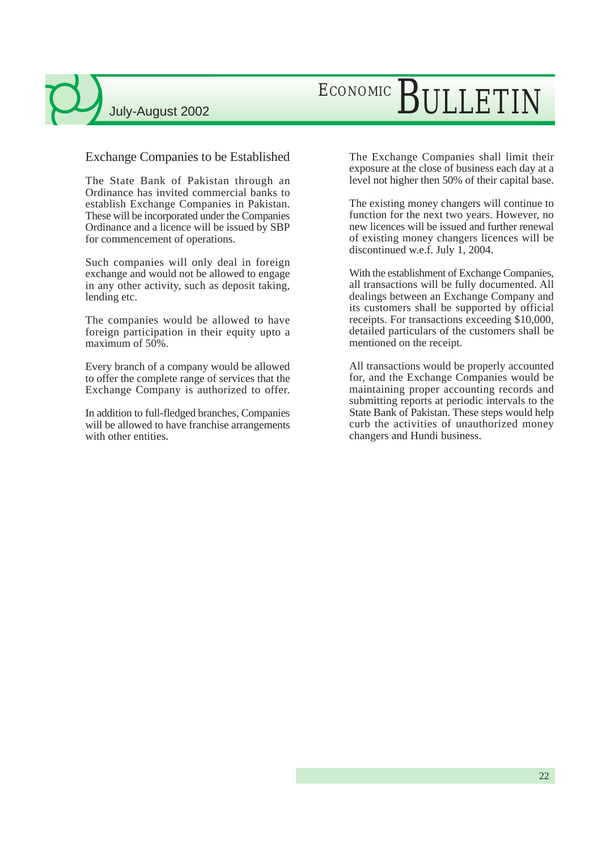#### Exchange Companies to be Established

The State Bank of Pakistan through an Ordinance has invited commercial banks to establish Exchange Companies in Pakistan. These will be incorporated under the Companies Ordinance and a licence will be issued by SBP for commencement of operations.

Such companies will only deal in foreign exchange and would not be allowed to engage in any other activity, such as deposit taking, lending etc.

The companies would be allowed to have foreign participation in their equity upto a maximum of 50%.

Every branch of a company would be allowed to offer the complete range of services that the Exchange Company is authorized to offer.

In addition to full-fledged branches, Companies will be allowed to have franchise arrangements with other entities.

The Exchange Companies shall limit their exposure at the close of business each day at a level not higher then 50% of their capital base.

The existing money changers will continue to function for the next two years. However, no new licences will be issued and further renewal of existing money changers licences will be discontinued w.e.f. July 1, 2004.

With the establishment of Exchange Companies, all transactions will be fully documented. All dealings between an Exchange Company and its customers shall be supported by official receipts. For transactions exceeding \$10,000, detailed particulars of the customers shall be mentioned on the receipt.

All transactions would be properly accounted for, and the Exchange Companies would be maintaining proper accounting records and submitting reports at periodic intervals to the State Bank of Pakistan. These steps would help curb the activities of unauthorized money changers and Hundi business.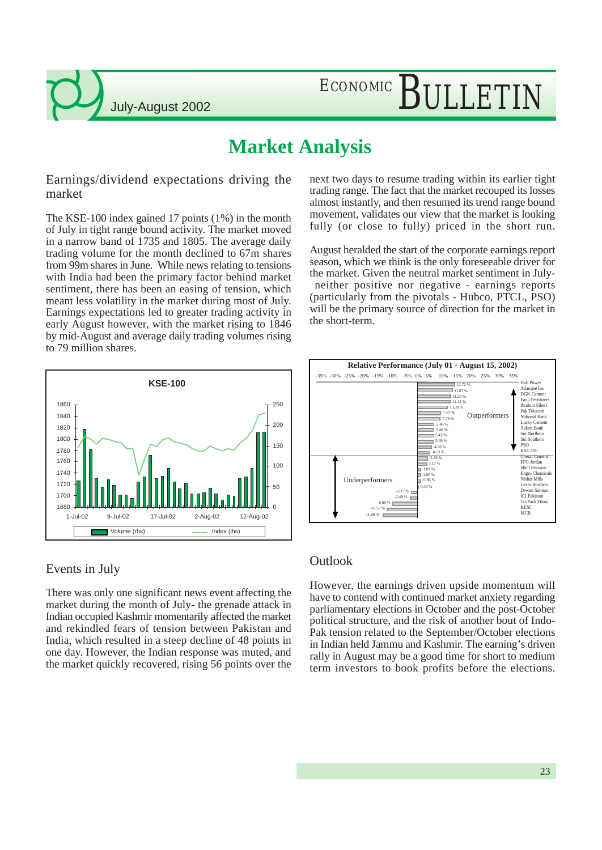## ECONOMIC BULLETIN

### **Market Analysis**

Earnings/dividend expectations driving the market

The KSE-100 index gained 17 points (1%) in the month of July in tight range bound activity. The market moved in a narrow band of 1735 and 1805. The average daily trading volume for the month declined to 67m shares from 99m shares in June. While news relating to tensions with India had been the primary factor behind market sentiment, there has been an easing of tension, which meant less volatility in the market during most of July. Earnings expectations led to greater trading activity in early August however, with the market rising to 1846 by mid-August and average daily trading volumes rising to 79 million shares.



### Events in July

There was only one significant news event affecting the market during the month of July- the grenade attack in Indian occupied Kashmir momentarily affected the market and rekindled fears of tension between Pakistan and India, which resulted in a steep decline of 48 points in one day. However, the Indian response was muted, and the market quickly recovered, rising 56 points over the

next two days to resume trading within its earlier tight trading range. The fact that the market recouped its losses almost instantly, and then resumed its trend range bound movement, validates our view that the market is looking fully (or close to fully) priced in the short run.

August heralded the start of the corporate earnings report season, which we think is the only foreseeable driver for the market. Given the neutral market sentiment in July neither positive nor negative - earnings reports (particularly from the pivotals - Hubco, PTCL, PSO) will be the primary source of direction for the market in the short-term.



#### **Outlook**

However, the earnings driven upside momentum will have to contend with continued market anxiety regarding parliamentary elections in October and the post-October political structure, and the risk of another bout of Indo-Pak tension related to the September/October elections in Indian held Jammu and Kashmir. The earning's driven rally in August may be a good time for short to medium term investors to book profits before the elections.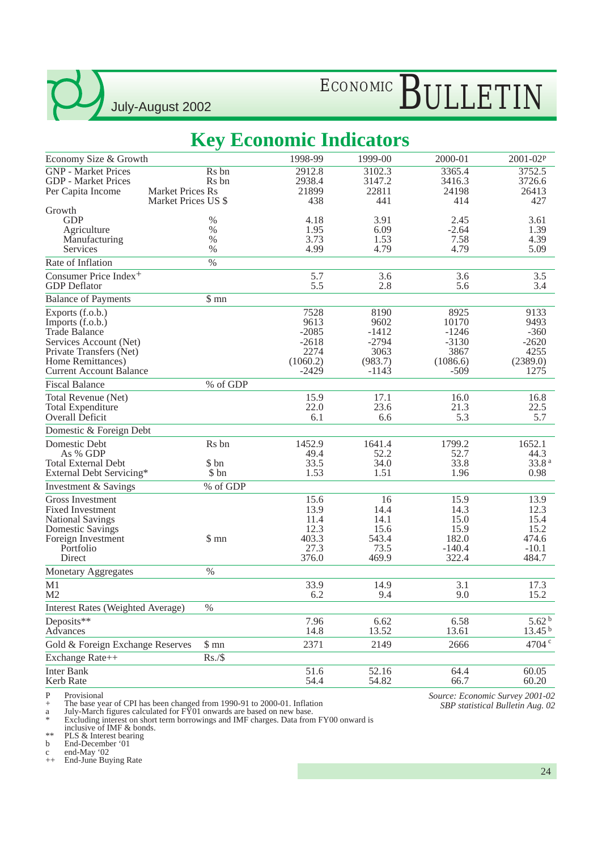## ECONOMIC BULLETIN

### **Key Economic Indicators**

|                                                                                                                                                                          | ັ                          |                                                                   |                                                                  |                                                                   |                                                               |
|--------------------------------------------------------------------------------------------------------------------------------------------------------------------------|----------------------------|-------------------------------------------------------------------|------------------------------------------------------------------|-------------------------------------------------------------------|---------------------------------------------------------------|
| Economy Size & Growth                                                                                                                                                    |                            | 1998-99                                                           | 1999-00                                                          | 2000-01                                                           | 2001-02P                                                      |
| <b>GNP</b> - Market Prices<br><b>GDP</b> - Market Prices<br><b>Market Prices Rs</b><br>Per Capita Income                                                                 | Rs bn<br>R <sub>s</sub> bn | 2912.8<br>2938.4<br>21899                                         | 3102.3<br>3147.2<br>22811                                        | 3365.4<br>3416.3<br>24198                                         | 3752.5<br>3726.6<br>26413                                     |
| Growth                                                                                                                                                                   | Market Prices US \$        | 438                                                               | 441                                                              | 414                                                               | 427                                                           |
| <b>GDP</b>                                                                                                                                                               | $\%$                       | 4.18                                                              | 3.91                                                             | 2.45                                                              | 3.61                                                          |
| Agriculture                                                                                                                                                              | $\%$                       | 1.95                                                              | 6.09                                                             | $-2.64$                                                           | 1.39                                                          |
| Manufacturing                                                                                                                                                            | $\%$                       | 3.73                                                              | 1.53                                                             | 7.58                                                              | 4.39                                                          |
| Services<br>Rate of Inflation                                                                                                                                            | $\%$<br>$\%$               | 4.99                                                              | 4.79                                                             | 4.79                                                              | 5.09                                                          |
| Consumer Price Index <sup>+</sup>                                                                                                                                        |                            | 5.7                                                               | 3.6                                                              | 3.6                                                               | 3.5                                                           |
| <b>GDP</b> Deflator                                                                                                                                                      |                            | 5.5                                                               | 2.8                                                              | 5.6                                                               | 3.4                                                           |
| <b>Balance of Payments</b>                                                                                                                                               | \$mn                       |                                                                   |                                                                  |                                                                   |                                                               |
| Exports (f.o.b.)<br>Imports (f.o.b.)<br><b>Trade Balance</b><br>Services Account (Net)<br>Private Transfers (Net)<br>Home Remittances)<br><b>Current Account Balance</b> |                            | 7528<br>9613<br>$-2085$<br>$-2618$<br>2274<br>(1060.2)<br>$-2429$ | 8190<br>9602<br>$-1412$<br>$-2794$<br>3063<br>(983.7)<br>$-1143$ | 8925<br>10170<br>$-1246$<br>$-3130$<br>3867<br>(1086.6)<br>$-509$ | 9133<br>9493<br>$-360$<br>$-2620$<br>4255<br>(2389.0)<br>1275 |
| <b>Fiscal Balance</b>                                                                                                                                                    | % of GDP                   |                                                                   |                                                                  |                                                                   |                                                               |
| Total Revenue (Net)<br><b>Total Expenditure</b><br>Overall Deficit                                                                                                       |                            | 15.9<br>22.0<br>6.1                                               | 17.1<br>23.6<br>6.6                                              | 16.0<br>21.3<br>5.3                                               | 16.8<br>22.5<br>5.7                                           |
| Domestic & Foreign Debt                                                                                                                                                  |                            |                                                                   |                                                                  |                                                                   |                                                               |
| Domestic Debt<br>As % GDP<br><b>Total External Debt</b><br>External Debt Servicing*                                                                                      | Rs bn<br>\$ bn<br>\$ bn    | 1452.9<br>49.4<br>33.5<br>1.53                                    | 1641.4<br>52.2<br>34.0<br>1.51                                   | 1799.2<br>52.7<br>33.8<br>1.96                                    | 1652.1<br>44.3<br>33.8 <sup>a</sup><br>0.98                   |
| Investment & Savings                                                                                                                                                     | % of GDP                   |                                                                   |                                                                  |                                                                   |                                                               |
| <b>Gross Investment</b><br><b>Fixed Investment</b><br><b>National Savings</b><br><b>Domestic Savings</b><br>Foreign Investment<br>Portfolio<br>Direct                    | \$mn                       | 15.6<br>13.9<br>11.4<br>12.3<br>403.3<br>27.3<br>376.0            | 16<br>14.4<br>14.1<br>15.6<br>543.4<br>73.5<br>469.9             | 15.9<br>14.3<br>15.0<br>15.9<br>182.0<br>$-140.4$<br>322.4        | 13.9<br>12.3<br>15.4<br>15.2<br>474.6<br>$-10.1$<br>484.7     |
| Monetary Aggregates                                                                                                                                                      | $\%$                       |                                                                   |                                                                  |                                                                   |                                                               |
| M1<br>M <sub>2</sub>                                                                                                                                                     |                            | 33.9<br>6.2                                                       | 14.9<br>9.4                                                      | 3.1<br>9.0                                                        | 17.3<br>15.2                                                  |
| <b>Interest Rates (Weighted Average)</b>                                                                                                                                 | $\%$                       |                                                                   |                                                                  |                                                                   |                                                               |
| Deposits**<br>Advances                                                                                                                                                   |                            | 7.96<br>14.8                                                      | 6.62<br>13.52                                                    | 6.58<br>13.61                                                     | 5.62 <sup>b</sup><br>13.45 <sup>b</sup>                       |
| Gold & Foreign Exchange Reserves                                                                                                                                         | $\$$ mn                    | 2371                                                              | 2149                                                             | 2666                                                              | $4704$ <sup>c</sup>                                           |
| Exchange Rate++                                                                                                                                                          | Rs./\$                     |                                                                   |                                                                  |                                                                   |                                                               |
| <b>Inter Bank</b><br>Kerb Rate                                                                                                                                           |                            | 51.6<br>54.4                                                      | 52.16<br>54.82                                                   | 64.4<br>66.7                                                      | 60.05<br>60.20                                                |

P Provisional

+ The base year of CPI has been changed from 1990-91 to 2000-01. Inflation

a July-March figures calculated for FY01 onwards are based on new base.

\* Excluding interest on short term borrowings and IMF charges. Data from FY00 onward is

inclusive of IMF & bonds.

\*\* PLS & Interest bearing

b End-December '01 c end-May '02

++ End-June Buying Rate

*Source: Economic Survey 2001-02 SBP statistical Bulletin Aug. 02*